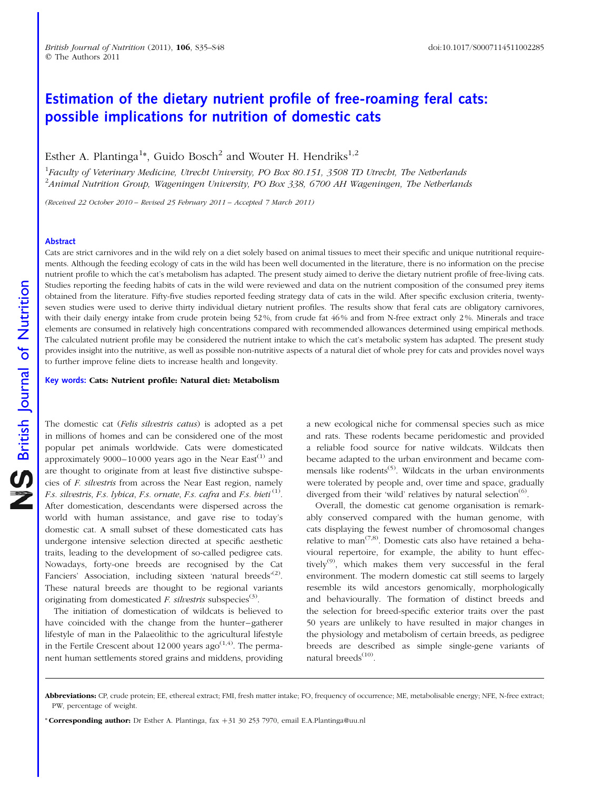## Estimation of the dietary nutrient profile of free-roaming feral cats: possible implications for nutrition of domestic cats

Esther A. Plantinga<sup>1</sup>\*, Guido Bosch<sup>2</sup> and Wouter H. Hendriks<sup>1,2</sup>

<sup>1</sup>Faculty of Veterinary Medicine, Utrecht University, PO Box 80.151, 3508 TD Utrecht, The Netherlands <sup>2</sup> Animal Nutrition Group, Wageningen University, PO Box 338, 6700 AH Wageningen, The Netherlands

(Received 22 October 2010 – Revised 25 February 2011 – Accepted 7 March 2011)

#### Abstract

Cats are strict carnivores and in the wild rely on a diet solely based on animal tissues to meet their specific and unique nutritional requirements. Although the feeding ecology of cats in the wild has been well documented in the literature, there is no information on the precise nutrient profile to which the cat's metabolism has adapted. The present study aimed to derive the dietary nutrient profile of free-living cats. Studies reporting the feeding habits of cats in the wild were reviewed and data on the nutrient composition of the consumed prey items obtained from the literature. Fifty-five studies reported feeding strategy data of cats in the wild. After specific exclusion criteria, twentyseven studies were used to derive thirty individual dietary nutrient profiles. The results show that feral cats are obligatory carnivores, with their daily energy intake from crude protein being 52%, from crude fat 46% and from N-free extract only 2%. Minerals and trace elements are consumed in relatively high concentrations compared with recommended allowances determined using empirical methods. The calculated nutrient profile may be considered the nutrient intake to which the cat's metabolic system has adapted. The present study provides insight into the nutritive, as well as possible non-nutritive aspects of a natural diet of whole prey for cats and provides novel ways to further improve feline diets to increase health and longevity.

Key words: Cats: Nutrient profile: Natural diet: Metabolism

The domestic cat (Felis silvestris catus) is adopted as a pet in millions of homes and can be considered one of the most popular pet animals worldwide. Cats were domesticated approximately 9000–10000 years ago in the Near East<sup>(1)</sup> and are thought to originate from at least five distinctive subspecies of F. silvestris from across the Near East region, namely *F.s. silvestris, F.s. lybica, F.s. ornate, F.s. cafra and F.s. bieti*  $^{(1)}$ . After domestication, descendants were dispersed across the world with human assistance, and gave rise to today's domestic cat. A small subset of these domesticated cats has undergone intensive selection directed at specific aesthetic traits, leading to the development of so-called pedigree cats. Nowadays, forty-one breeds are recognised by the Cat Fanciers' Association, including sixteen 'natural breeds'<sup>(2)</sup>. These natural breeds are thought to be regional variants originating from domesticated *F. silvestris* subspecies<sup>(3)</sup>.

The initiation of domestication of wildcats is believed to have coincided with the change from the hunter–gatherer lifestyle of man in the Palaeolithic to the agricultural lifestyle in the Fertile Crescent about 12000 years  $ago^{(1,4)}$ . The permanent human settlements stored grains and middens, providing a new ecological niche for commensal species such as mice and rats. These rodents became peridomestic and provided a reliable food source for native wildcats. Wildcats then became adapted to the urban environment and became commensals like rodents<sup>(5)</sup>. Wildcats in the urban environments were tolerated by people and, over time and space, gradually diverged from their 'wild' relatives by natural selection $^{(6)}$ .

Overall, the domestic cat genome organisation is remarkably conserved compared with the human genome, with cats displaying the fewest number of chromosomal changes relative to man<sup> $(7,8)$ </sup>. Domestic cats also have retained a behavioural repertoire, for example, the ability to hunt effectively<sup>(9)</sup>, which makes them very successful in the feral environment. The modern domestic cat still seems to largely resemble its wild ancestors genomically, morphologically and behaviourally. The formation of distinct breeds and the selection for breed-specific exterior traits over the past 50 years are unlikely to have resulted in major changes in the physiology and metabolism of certain breeds, as pedigree breeds are described as simple single-gene variants of natural breeds<sup>(10)</sup>.

\* Corresponding author: Dr Esther A. Plantinga, fax  $+31$  30 253 7970, email E.A.Plantinga@uu.nl

Abbreviations: CP, crude protein; EE, ethereal extract; FMI, fresh matter intake; FO, frequency of occurrence; ME, metabolisable energy; NFE, N-free extract; PW, percentage of weight.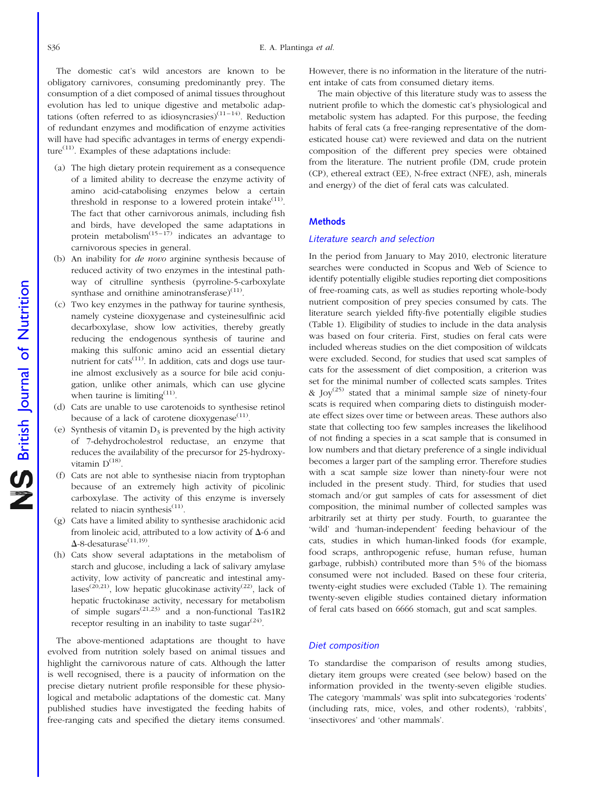The domestic cat's wild ancestors are known to be obligatory carnivores, consuming predominantly prey. The consumption of a diet composed of animal tissues throughout evolution has led to unique digestive and metabolic adaptations (often referred to as idiosyncrasies) $(11-14)$ . Reduction of redundant enzymes and modification of enzyme activities will have had specific advantages in terms of energy expenditure<sup> $(11)$ </sup>. Examples of these adaptations include:

- (a) The high dietary protein requirement as a consequence of a limited ability to decrease the enzyme activity of amino acid-catabolising enzymes below a certain threshold in response to a lowered protein intake $(11)$ . The fact that other carnivorous animals, including fish and birds, have developed the same adaptations in protein metabolism<sup> $(15-17)$ </sup> indicates an advantage to carnivorous species in general.
- (b) An inability for de novo arginine synthesis because of reduced activity of two enzymes in the intestinal pathway of citrulline synthesis (pyrroline-5-carboxylate synthase and ornithine aminotransferase $(11)$ .
- (c) Two key enzymes in the pathway for taurine synthesis, namely cysteine dioxygenase and cysteinesulfinic acid decarboxylase, show low activities, thereby greatly reducing the endogenous synthesis of taurine and making this sulfonic amino acid an essential dietary nutrient for cats<sup> $(11)$ </sup>. In addition, cats and dogs use taurine almost exclusively as a source for bile acid conjugation, unlike other animals, which can use glycine when taurine is limiting $(11)$ .
- (d) Cats are unable to use carotenoids to synthesise retinol because of a lack of carotene dioxygenase $(11)$ .
- (e) Synthesis of vitamin  $D_3$  is prevented by the high activity of 7-dehydrocholestrol reductase, an enzyme that reduces the availability of the precursor for 25-hydroxyvitamin  $D^{(18)}$ .
- (f) Cats are not able to synthesise niacin from tryptophan because of an extremely high activity of picolinic carboxylase. The activity of this enzyme is inversely related to niacin synthesis $(11)$ .
- (g) Cats have a limited ability to synthesise arachidonic acid from linoleic acid, attributed to a low activity of  $\Delta$ -6 and  $\Delta$ -8-desaturase<sup>(11,19)</sup>.
- (h) Cats show several adaptations in the metabolism of starch and glucose, including a lack of salivary amylase activity, low activity of pancreatic and intestinal amylases<sup>(20,21)</sup>, low hepatic glucokinase activity<sup>(22)</sup>, lack of hepatic fructokinase activity, necessary for metabolism of simple sugars<sup> $(21,23)$ </sup> and a non-functional Tas1R2 receptor resulting in an inability to taste sugar $(24)$ .

The above-mentioned adaptations are thought to have evolved from nutrition solely based on animal tissues and highlight the carnivorous nature of cats. Although the latter is well recognised, there is a paucity of information on the precise dietary nutrient profile responsible for these physiological and metabolic adaptations of the domestic cat. Many published studies have investigated the feeding habits of free-ranging cats and specified the dietary items consumed.

However, there is no information in the literature of the nutrient intake of cats from consumed dietary items.

The main objective of this literature study was to assess the nutrient profile to which the domestic cat's physiological and metabolic system has adapted. For this purpose, the feeding habits of feral cats (a free-ranging representative of the domesticated house cat) were reviewed and data on the nutrient composition of the different prey species were obtained from the literature. The nutrient profile (DM, crude protein (CP), ethereal extract (EE), N-free extract (NFE), ash, minerals and energy) of the diet of feral cats was calculated.

### **Methods**

#### Literature search and selection

In the period from January to May 2010, electronic literature searches were conducted in Scopus and Web of Science to identify potentially eligible studies reporting diet compositions of free-roaming cats, as well as studies reporting whole-body nutrient composition of prey species consumed by cats. The literature search yielded fifty-five potentially eligible studies [\(Table 1](#page-2-0)). Eligibility of studies to include in the data analysis was based on four criteria. First, studies on feral cats were included whereas studies on the diet composition of wildcats were excluded. Second, for studies that used scat samples of cats for the assessment of diet composition, a criterion was set for the minimal number of collected scats samples. Trites &  $\text{Iov}^{(25)}$  stated that a minimal sample size of ninety-four scats is required when comparing diets to distinguish moderate effect sizes over time or between areas. These authors also state that collecting too few samples increases the likelihood of not finding a species in a scat sample that is consumed in low numbers and that dietary preference of a single individual becomes a larger part of the sampling error. Therefore studies with a scat sample size lower than ninety-four were not included in the present study. Third, for studies that used stomach and/or gut samples of cats for assessment of diet composition, the minimal number of collected samples was arbitrarily set at thirty per study. Fourth, to guarantee the 'wild' and 'human-independent' feeding behaviour of the cats, studies in which human-linked foods (for example, food scraps, anthropogenic refuse, human refuse, human garbage, rubbish) contributed more than 5 % of the biomass consumed were not included. Based on these four criteria, twenty-eight studies were excluded ([Table 1](#page-2-0)). The remaining twenty-seven eligible studies contained dietary information of feral cats based on 6666 stomach, gut and scat samples.

#### Diet composition

To standardise the comparison of results among studies, dietary item groups were created (see below) based on the information provided in the twenty-seven eligible studies. The category 'mammals' was split into subcategories 'rodents' (including rats, mice, voles, and other rodents), 'rabbits', 'insectivores' and 'other mammals'.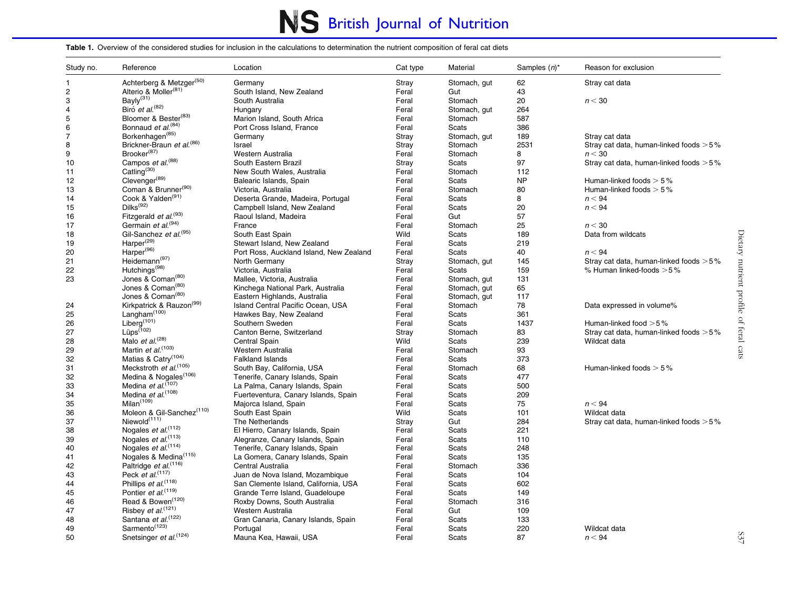# NS British Journal of Nutrition

#### <span id="page-2-0"></span>Table 1. Overview of the considered studies for inclusion in the calculations to determination the nutrient composition of feral cat diets

| Study no.      | Reference                             | Location                                | Cat type | Material     | Samples $(n)^*$ | Reason for exclusion                      |
|----------------|---------------------------------------|-----------------------------------------|----------|--------------|-----------------|-------------------------------------------|
| 1              | Achterberg & Metzger(50)              | Germany                                 | Stray    | Stomach, gut | 62              | Stray cat data                            |
| $\overline{c}$ | Alterio & Moller <sup>(81)</sup>      | South Island, New Zealand               | Feral    | Gut          | 43              |                                           |
| 3              | Bayly <sup>(31)</sup>                 | South Australia                         | Feral    | Stomach      | 20              | n < 30                                    |
| 4              | Biró et al. <sup>(82)</sup>           | Hungary                                 | Feral    | Stomach, gut | 264             |                                           |
| $\,$ 5 $\,$    | Bloomer & Bester <sup>(83)</sup>      | Marion Island, South Africa             | Feral    | Stomach      | 587             |                                           |
| 6              | Bonnaud et al. <sup>(84)</sup>        | Port Cross Island, France               | Feral    | Scats        | 386             |                                           |
| $\overline{7}$ | Borkenhagen <sup>(85)</sup>           | Germany                                 | Stray    | Stomach, gut | 189             | Stray cat data                            |
| 8              | Brickner-Braun et al. <sup>(86)</sup> | Israel                                  | Stray    | Stomach      | 2531            | Stray cat data, human-linked foods $>5\%$ |
| 9              | Brooker <sup>(87)</sup>               | Western Australia                       | Feral    | Stomach      | 8               | n < 30                                    |
| 10             | Campos et al. <sup>(88)</sup>         | South Eastern Brazil                    | Stray    | <b>Scats</b> | 97              | Stray cat data, human-linked foods $>5\%$ |
| 11             | Catling <sup>(30)</sup>               | New South Wales, Australia              | Feral    | Stomach      | 112             |                                           |
| 12             | Clevenger <sup>(89)</sup>             | Balearic Islands, Spain                 | Feral    | Scats        | <b>NP</b>       | Human-linked foods $> 5\%$                |
| 13             | Coman & Brunner <sup>(90)</sup>       | Victoria, Australia                     | Feral    | Stomach      | 80              | Human-linked foods $> 5\%$                |
| 14             | Cook & Yalden <sup>(91)</sup>         | Deserta Grande, Madeira, Portugal       | Feral    | Scats        | 8               | n < 94                                    |
| 15             | Dilks <sup>(92)</sup>                 | Campbell Island, New Zealand            | Feral    | Scats        | 20              | n < 94                                    |
| 16             | Fitzgerald et al. <sup>(93)</sup>     | Raoul Island, Madeira                   | Feral    | Gut          | 57              |                                           |
| 17             | Germain et al. <sup>(94)</sup>        | France                                  | Feral    | Stomach      | 25              | n < 30                                    |
| 18             | Gil-Sanchez et al. <sup>(95)</sup>    | South East Spain                        | Wild     | Scats        | 189             | Data from wildcats                        |
| 19             | Harper <sup>(29)</sup>                | Stewart Island, New Zealand             | Feral    | Scats        | 219             |                                           |
| 20             | Harper <sup>(96)</sup>                | Port Ross, Auckland Island, New Zealand | Feral    | Scats        | 40              | n < 94                                    |
|                | Heidemann <sup>(97)</sup>             |                                         |          |              |                 |                                           |
| 21             | Hutchings <sup>(98)</sup>             | North Germany                           | Stray    | Stomach, gut | 145             | Stray cat data, human-linked foods $>5\%$ |
| 22<br>23       | Jones & Coman <sup>(80)</sup>         | Victoria, Australia                     | Feral    | Scats        | 159<br>131      | % Human linked-foods > 5%                 |
|                | Jones & Coman <sup>(80)</sup>         | Mallee, Victoria, Australia             | Feral    | Stomach, gut | 65              |                                           |
|                | Jones & Coman <sup>(80)</sup>         | Kinchega National Park, Australia       | Feral    | Stomach, gut |                 |                                           |
|                |                                       | Eastern Highlands, Australia            | Feral    | Stomach, gut | 117             |                                           |
| 24             | Kirkpatrick & Rauzon <sup>(99)</sup>  | Island Central Pacific Ocean, USA       | Feral    | Stomach      | 78              | Data expressed in volume%                 |
| 25             | Langham $(100)$                       | Hawkes Bay, New Zealand                 | Feral    | Scats        | 361             |                                           |
| 26             | Liberg <sup>(101)</sup>               | Southern Sweden                         | Feral    | Scats        | 1437            | Human-linked food > 5%                    |
| 27             | Lüps <sup>(102)</sup>                 | Canton Berne, Switzerland               | Stray    | Stomach      | 83              | Stray cat data, human-linked foods > 5%   |
| 28             | Malo et $al^{(28)}$                   | Central Spain                           | Wild     | <b>Scats</b> | 239             | Wildcat data                              |
| 29             | Martin et al. <sup>(103)</sup>        | Western Australia                       | Feral    | Stomach      | 93              |                                           |
| 32             | Matias & Catry <sup>(104)</sup>       | <b>Falkland Islands</b>                 | Feral    | Scats        | 373             |                                           |
| 31             | Meckstroth et al. <sup>(105)</sup>    | South Bay, California, USA              | Feral    | Stomach      | 68              | Human-linked foods $> 5\%$                |
| 32             | Medina & Nogales <sup>(106)</sup>     | Tenerife, Canary Islands, Spain         | Feral    | Scats        | 477             |                                           |
| 33             | Medina et al. <sup>(107)</sup>        | La Palma, Canary Islands, Spain         | Feral    | Scats        | 500             |                                           |
| 34             | Medina et al. <sup>(108)</sup>        | Fuerteventura, Canary Islands, Spain    | Feral    | Scats        | 209             |                                           |
| 35             | Milan <sup>(109)</sup>                | Majorca Island, Spain                   | Feral    | Scats        | 75              | n < 94                                    |
| 36             | Moleon & Gil-Sanchez <sup>(110)</sup> | South East Spain                        | Wild     | Scats        | 101             | Wildcat data                              |
| 37             | Niewold <sup>(111)</sup>              | The Netherlands                         | Stray    | Gut          | 284             | Stray cat data, human-linked foods $>5\%$ |
| 38             | Nogales et al. <sup>(112)</sup>       | El Hierro, Canary Islands, Spain        | Feral    | Scats        | 221             |                                           |
| 39             | Nogales et al. <sup>(113)</sup>       | Alegranze, Canary Islands, Spain        | Feral    | <b>Scats</b> | 110             |                                           |
| 40             | Nogales et al. <sup>(114)</sup>       | Tenerife, Canary Islands, Spain         | Feral    | Scats        | 248             |                                           |
| 41             | Nogales & Medina <sup>(115)</sup>     | La Gomera, Canary Islands, Spain        | Feral    | Scats        | 135             |                                           |
| 42             | Paltridge et al. <sup>(116)</sup>     | Central Australia                       | Feral    | Stomach      | 336             |                                           |
| 43             | Peck et al. $(117)$                   | Juan de Nova Island, Mozambique         | Feral    | Scats        | 104             |                                           |
| 44             | Phillips et al. <sup>(118)</sup>      | San Clemente Island, California, USA    | Feral    | Scats        | 602             |                                           |
| 45             | Pontier et al. <sup>(119)</sup>       | Grande Terre Island, Guadeloupe         | Feral    | <b>Scats</b> | 149             |                                           |
| 46             | Read & Bowen <sup>(120)</sup>         | Roxby Downs, South Australia            | Feral    | Stomach      | 316             |                                           |
| 47             | Risbey et al. <sup>(121)</sup>        | Western Australia                       | Feral    | Gut          | 109             |                                           |
| 48             | Santana et al. <sup>(122)</sup>       | Gran Canaria, Canary Islands, Spain     | Feral    | Scats        | 133             |                                           |
| 49             | Sarmento <sup>(123)</sup>             | Portugal                                | Feral    | Scats        | 220             | Wildcat data                              |
| 50             | Snetsinger et al. <sup>(124)</sup>    | Mauna Kea, Hawaii, USA                  | Feral    | Scats        | 87              | n < 94                                    |

 $237$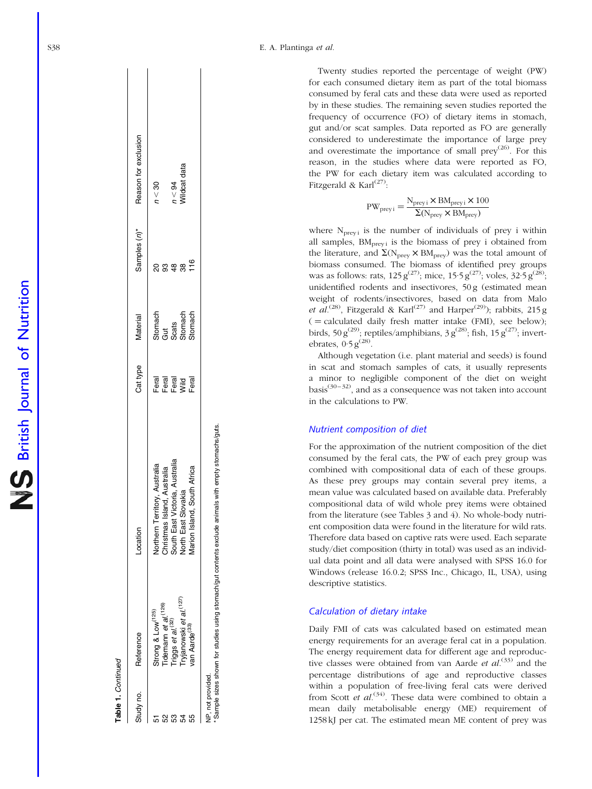| ົ໐     |
|--------|
|        |
| ľ<br>I |
|        |

 $\mathbf{r}$ 

| Study no.         | Reference                                                                        | _ocation                                                                                                              | Cat type               | Material                | Samples (n)*  | Reason for exclusion |
|-------------------|----------------------------------------------------------------------------------|-----------------------------------------------------------------------------------------------------------------------|------------------------|-------------------------|---------------|----------------------|
| άΩ                | Strong & Low <sup>(125)</sup>                                                    |                                                                                                                       | Feral                  |                         |               | n < 30               |
| လ                 | Tidemann et al. <sup>(126)</sup>                                                 | Northern Territory, Australia<br>Christmas Island, Australia<br>South East Victoria, Australia<br>North East Slovakia | Feral                  | Stomach<br>Gut<br>Scats |               |                      |
| ဥ္က               |                                                                                  |                                                                                                                       |                        |                         | $\frac{4}{8}$ | 1 < 94               |
| 54                | Triggs <i>et al.<sup>(32)</sup></i><br>Tryjanowski <i>et al.<sup>(127)</sup></i> |                                                                                                                       | Feral<br>Viid<br>Feral | <b>Stomach</b>          | 38            | Vildcat data         |
|                   | ran Aarde <sup>(33)</sup>                                                        | South Africa<br><b>Jarion Island,</b>                                                                                 |                        | stomach                 | $10^{16}$     |                      |
| NP, not provided. |                                                                                  |                                                                                                                       |                        |                         |               |                      |

\* Sample sizes shown for studies using stomach/gut contents exclude animals with empty stomachs/guts.

Sample sizes shown for studies using stomach/gut contents exclude animals with empty stomachs/guts.

Twenty studies reported the percentage of weight (PW) for each consumed dietary item as part of the total biomass consumed by feral cats and these data were used as reported by in these studies. The remaining seven studies reported the frequency of occurrence (FO) of dietary items in stomach, gut and/or scat samples. Data reported as FO are generally considered to underestimate the importance of large prey and overestimate the importance of small prey<sup>(26)</sup>. For this reason, in the studies where data were reported as FO, the PW for each dietary item was calculated according to Fitzgerald & Karl<sup>(27)</sup>:

$$
PW_{preyi} = \frac{N_{preyi} \times BM_{preyi} \times 100}{\Sigma (N_{prey} \times BM_{prey})}
$$

where  $N_{\text{previ}}$  is the number of individuals of prey i within all samples,  $BM<sub>previ</sub>$  is the biomass of prey i obtained from the literature, and  $\Sigma(\text{N}_{\text{prey}} \times \text{BM}_{\text{prey}})$  was the total amount of biomass consumed. The biomass of identified prey groups was as follows: rats, 125  $g^{(27)}$ ; mice, 15·5  $g^{(27)}$ ; voles, 32·5  $g^{(28)}$ ; unidentified rodents and insectivores, 50 g (estimated mean weight of rodents/insectivores, based on data from Malo et al.<sup>(28)</sup>, Fitzgerald & Karl<sup>(27)</sup> and Harper<sup>(29)</sup>); rabbits, 215 g  $($  = calculated daily fresh matter intake (FMI), see below); birds, 50 g<sup>(29)</sup>; reptiles/amphibians, 3 g<sup>(28)</sup>; fish, 15 g<sup>(27)</sup>; invertebrates,  $0.5 g^{(28)}$ .

Although vegetation (i.e. plant material and seeds) is found in scat and stomach samples of cats, it usually represents a minor to negligible component of the diet on weight basis $(30-32)$ , and as a consequence was not taken into account in the calculations to PW.

#### Nutrient composition of diet

For the approximation of the nutrient composition of the diet consumed by the feral cats, the PW of each prey group was combined with compositional data of each of these groups. As these prey groups may contain several prey items, a mean value was calculated based on available data. Preferably compositional data of wild whole prey items were obtained from the literature (see [Tables 3 and 4\)](#page-6-0). No whole-body nutrient composition data were found in the literature for wild rats. Therefore data based on captive rats were used. Each separate study/diet composition (thirty in total) was used as an individual data point and all data were analysed with SPSS 16.0 for Windows (release 16.0.2; SPSS Inc., Chicago, IL, USA), using descriptive statistics.

#### Calculation of dietary intake

Daily FMI of cats was calculated based on estimated mean energy requirements for an average feral cat in a population. The energy requirement data for different age and reproductive classes were obtained from van Aarde *et al*.<sup>(33)</sup> and the percentage distributions of age and reproductive classes within a population of free-living feral cats were derived from Scott *et al.*<sup>(34)</sup>. These data were combined to obtain a mean daily metabolisable energy (ME) requirement of 1258 kJ per cat. The estimated mean ME content of prey was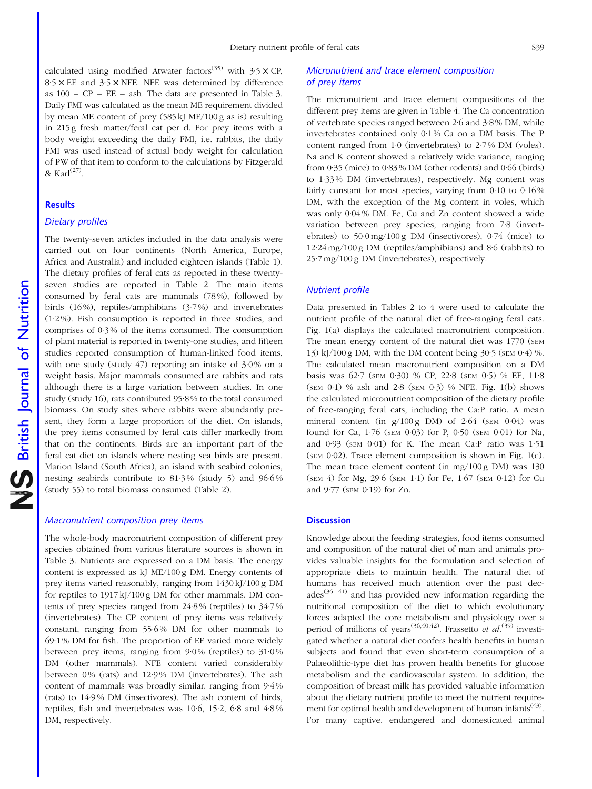calculated using modified Atwater factors<sup>(35)</sup> with  $3.5 \times$  CP.  $8.5 \times$  EE and  $3.5 \times$  NFE. NFE was determined by difference as  $100 - CP - EE - ash$ . The data are presented in [Table 3](#page-6-0). Daily FMI was calculated as the mean ME requirement divided by mean ME content of prey (585 kJ ME/100 g as is) resulting in 215 g fresh matter/feral cat per d. For prey items with a body weight exceeding the daily FMI, i.e. rabbits, the daily FMI was used instead of actual body weight for calculation of PW of that item to conform to the calculations by Fitzgerald & Karl $^{(27)}$ .

#### **Results**

### Dietary profiles

The twenty-seven articles included in the data analysis were carried out on four continents (North America, Europe, Africa and Australia) and included eighteen islands [\(Table 1\)](#page-2-0). The dietary profiles of feral cats as reported in these twentyseven studies are reported in [Table 2](#page-5-0). The main items consumed by feral cats are mammals (78 %), followed by birds (16 %), reptiles/amphibians (3·7 %) and invertebrates (1·2 %). Fish consumption is reported in three studies, and comprises of 0·3 % of the items consumed. The consumption of plant material is reported in twenty-one studies, and fifteen studies reported consumption of human-linked food items, with one study (study  $47$ ) reporting an intake of  $3.0\%$  on a weight basis. Major mammals consumed are rabbits and rats although there is a large variation between studies. In one study (study 16), rats contributed 95·8 % to the total consumed biomass. On study sites where rabbits were abundantly present, they form a large proportion of the diet. On islands, the prey items consumed by feral cats differ markedly from that on the continents. Birds are an important part of the feral cat diet on islands where nesting sea birds are present. Marion Island (South Africa), an island with seabird colonies, nesting seabirds contribute to  $81.3\%$  (study 5) and  $96.6\%$ (study 55) to total biomass consumed ([Table 2\)](#page-5-0).

#### Macronutrient composition prey items

The whole-body macronutrient composition of different prey species obtained from various literature sources is shown in [Table 3.](#page-6-0) Nutrients are expressed on a DM basis. The energy content is expressed as kJ ME/100 g DM. Energy contents of prey items varied reasonably, ranging from 1430 kJ/100 g DM for reptiles to 1917 kJ/100 g DM for other mammals. DM contents of prey species ranged from 24·8 % (reptiles) to 34·7 % (invertebrates). The CP content of prey items was relatively constant, ranging from 55·6 % DM for other mammals to 69·1 % DM for fish. The proportion of EE varied more widely between prey items, ranging from  $9.0\%$  (reptiles) to  $31.0\%$ DM (other mammals). NFE content varied considerably between 0% (rats) and 12·9% DM (invertebrates). The ash content of mammals was broadly similar, ranging from 9·4 % (rats) to 14·9 % DM (insectivores). The ash content of birds, reptiles, fish and invertebrates was 10·6, 15·2, 6·8 and 4·8 % DM, respectively.

### Micronutrient and trace element composition of prey items

The micronutrient and trace element compositions of the different prey items are given in [Table 4.](#page-6-0) The Ca concentration of vertebrate species ranged between 2·6 and 3·8 % DM, while invertebrates contained only 0·1 % Ca on a DM basis. The P content ranged from 1·0 (invertebrates) to 2·7 % DM (voles). Na and K content showed a relatively wide variance, ranging from 0·35 (mice) to 0·83 % DM (other rodents) and 0·66 (birds) to 1·33 % DM (invertebrates), respectively. Mg content was fairly constant for most species, varying from 0.10 to 0.16% DM, with the exception of the Mg content in voles, which was only 0·04 % DM. Fe, Cu and Zn content showed a wide variation between prey species, ranging from 7·8 (invertebrates) to 50·0 mg/100 g DM (insectivores), 0·74 (mice) to 12·24 mg/100 g DM (reptiles/amphibians) and 8·6 (rabbits) to 25·7 mg/100 g DM (invertebrates), respectively.

### Nutrient profile

Data presented in [Tables 2 to 4](#page-5-0) were used to calculate the nutrient profile of the natural diet of free-ranging feral cats. [Fig. 1\(a\)](#page-7-0) displays the calculated macronutrient composition. The mean energy content of the natural diet was 1770 (SEM 13) kJ/100 g DM, with the DM content being 30·5 (SEM 0·4) %. The calculated mean macronutrient composition on a DM basis was 62·7 (SEM 0·30) % CP, 22·8 (SEM 0·5) % EE, 11·8 (SEM  $0.1$ ) % ash and  $2.8$  (SEM  $0.3$ ) % NFE. [Fig. 1\(b\)](#page-7-0) shows the calculated micronutrient composition of the dietary profile of free-ranging feral cats, including the Ca:P ratio. A mean mineral content (in  $g/100 g$  DM) of 2.64 (SEM 0.04) was found for Ca, 1·76 (SEM 0·03) for P, 0·50 (SEM 0·01) for Na, and 0·93 (SEM 0·01) for K. The mean Ca:P ratio was 1·51 ( $SEM$  0·02). Trace element composition is shown in [Fig. 1\(c\)](#page-7-0). The mean trace element content (in mg/100 g DM) was 130 (SEM 4) for Mg, 29·6 (SEM 1·1) for Fe, 1·67 (SEM 0·12) for Cu and 9·77 (SEM 0·19) for Zn.

#### **Discussion**

Knowledge about the feeding strategies, food items consumed and composition of the natural diet of man and animals provides valuable insights for the formulation and selection of appropriate diets to maintain health. The natural diet of humans has received much attention over the past dec $a\text{des}^{(36-41)}$  and has provided new information regarding the nutritional composition of the diet to which evolutionary forces adapted the core metabolism and physiology over a period of millions of years<sup>(36,40,42)</sup>. Frassetto et al.<sup>(39)</sup> investigated whether a natural diet confers health benefits in human subjects and found that even short-term consumption of a Palaeolithic-type diet has proven health benefits for glucose metabolism and the cardiovascular system. In addition, the composition of breast milk has provided valuable information about the dietary nutrient profile to meet the nutrient requirement for optimal health and development of human infants<sup>(43)</sup>. For many captive, endangered and domesticated animal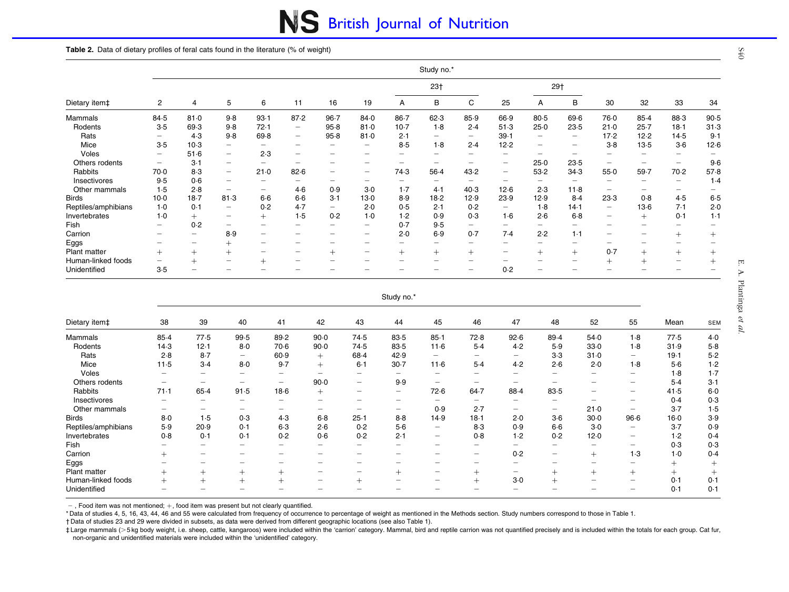# NS British Journal of Nutrition

#### <span id="page-5-0"></span>Table 2. Data of dietary profiles of feral cats found in the literature (% of weight)

|                     |                          |                 |                                 |                                |                                |                                |                                |                          | Study no.*               |      |                                |                          |                          |                                |          |                                |                          |
|---------------------|--------------------------|-----------------|---------------------------------|--------------------------------|--------------------------------|--------------------------------|--------------------------------|--------------------------|--------------------------|------|--------------------------------|--------------------------|--------------------------|--------------------------------|----------|--------------------------------|--------------------------|
|                     |                          |                 |                                 |                                |                                |                                |                                |                          | 23 <sub>†</sub>          |      |                                |                          | 29†                      |                                |          |                                |                          |
| Dietary item‡       | 2                        | 4               | 5                               | 6                              | 11                             | 16                             | 19                             | Α                        | B                        | C    | 25                             | А                        | B                        | 30                             | 32       | 33                             | 34                       |
| Mammals             | 84.5                     | 81.0            | 9.8                             | 93.1                           | 87.2                           | $96 - 7$                       | 84.0                           | $86 - 7$                 | 62.3                     | 85.9 | 66.9                           | 80.5                     | 69.6                     | 76.0                           | 85.4     | 88.3                           | 90.5                     |
| Rodents             | $3-5$                    | 69.3            | 9.8                             | 72.1                           | -                              | 95.8                           | 81.0                           | $10-7$                   | $1-8$                    | 2.4  | 51.3                           | 25.0                     | 23.5                     | 21.0                           | $25 - 7$ | 18.1                           | 31.3                     |
| Rats                | -                        | 4.3             | 9.8                             | 69.8                           | $\qquad \qquad \longleftarrow$ | 95.8                           | 81.0                           | 2.1                      | —                        | —    | 39.1                           | $\overline{\phantom{m}}$ | $\qquad \qquad$          | 17.2                           | 12.2     | 14.5                           | 9.1                      |
| Mice                | 3.5                      | $10-3$          | $\overline{\phantom{0}}$        |                                | $\overline{\phantom{a}}$       | $\overline{\phantom{m}}$       | $\qquad \qquad \longleftarrow$ | $8-5$                    | $1-8$                    | 2.4  | 12.2                           | $\overline{\phantom{m}}$ | $\qquad \qquad =$        | $3-8$                          | 13.5     | $3-6$                          | 12.6                     |
| Voles               | $\overline{\phantom{m}}$ | $51-6$          | $\hspace{0.1mm}-\hspace{0.1mm}$ | 2.3                            | $\equiv$                       | -                              | -                              | $\overline{\phantom{0}}$ |                          | -    | $\qquad \qquad \longleftarrow$ | $\overline{\phantom{m}}$ | $\overline{\phantom{m}}$ |                                |          |                                |                          |
| Others rodents      | $\qquad \qquad$          | $3-1$           | $\overline{\phantom{a}}$        | $\qquad \qquad$                |                                |                                |                                | -                        |                          |      | $\overline{\phantom{m}}$       | 25.0                     | 23.5                     | -                              | -        | $\qquad \qquad$                | 9.6                      |
| Rabbits             | 70.0                     | 8.3             | $\hspace{0.1mm}-\hspace{0.1mm}$ | 21.0                           | 82.6                           | $\qquad \qquad \longleftarrow$ | $\overline{\phantom{m}}$       | 74.3                     | 56.4                     | 43.2 | $\overline{\phantom{m}}$       | 53.2                     | 34.3                     | $55-0$                         | 59.7     | 70.2                           | 57.8                     |
| Insectivores        | $9-5$                    | 0.6             | $\overline{\phantom{m}}$        | $\overline{\phantom{m}}$       | $\qquad \qquad \longleftarrow$ | -                              | -                              | -                        | $\overline{\phantom{0}}$ | —    | $\qquad \qquad \longleftarrow$ | $\overline{\phantom{0}}$ | $\overline{\phantom{m}}$ | -                              | -        | $\qquad \qquad \longleftarrow$ | 1.4                      |
| Other mammals       | 1.5                      | 2.8             | $\sim$                          | $\qquad \qquad \longleftarrow$ | $4-6$                          | 0.9                            | $3-0$                          | $1-7$                    | 4.1                      | 40.3 | 12.6                           | 2.3                      | $11-8$                   | $\overline{\phantom{m}}$       | -        | $\qquad \qquad \longleftarrow$ | $\overline{\phantom{0}}$ |
| <b>Birds</b>        | $10-0$                   | $18-7$          | 81.3                            | $6-6$                          | $6-6$                          | $3-1$                          | $13-0$                         | 8.9                      | 18.2                     | 12.9 | 23.9                           | 12.9                     | 8.4                      | 23.3                           | 0.8      | 4.5                            | 6.5                      |
| Reptiles/amphibians | $1-0$                    | 0.1             | $\overline{\phantom{a}}$        | 0.2                            | 4.7                            | $\qquad \qquad \longleftarrow$ | 2.0                            | 0.5                      | 2.1                      | 0.2  | $\overline{\phantom{a}}$       | $1-8$                    | 14.1                     | —                              | $13-6$   | 7.1                            | 2.0                      |
| Invertebrates       | $1-0$                    | $+$             | $\overline{\phantom{m}}$        | $^{+}$                         | 1.5                            | 0.2                            | $1-0$                          | 1.2                      | 0.9                      | 0.3  | $1-6$                          | 2.6                      | $6 - 8$                  | $\qquad \qquad \longleftarrow$ | $^{+}$   | 0.1                            | $1 - 1$                  |
| Fish                | $\overline{\phantom{0}}$ | 0.2             | $\overline{\phantom{m}}$        | $\overline{\phantom{m}}$       | $\qquad \qquad =$              | $\qquad \qquad -$              | $\qquad \qquad$                | 0.7                      | 9.5                      | -    | $\overline{\phantom{m}}$       | $\overline{\phantom{a}}$ | $\qquad \qquad -$        | -                              | -        | $\overline{\phantom{m}}$       | $\overline{\phantom{0}}$ |
| Carrion             | $\qquad \qquad$          | $\qquad \qquad$ | 8.9                             | $\overline{\phantom{m}}$       | $\qquad \qquad \longleftarrow$ | $\qquad \qquad -$              | $\qquad \qquad$                | 2.0                      | 6.9                      | 0.7  | 7.4                            | 2.2                      | $1-1$                    | $\qquad \qquad \longleftarrow$ | -        | $^{+}$                         | $^{+}$                   |
| Eggs                |                          | $\qquad \qquad$ | $+$                             | $\overline{\phantom{m}}$       | $\overline{\phantom{a}}$       | $\overline{\phantom{m}}$       | $\qquad \qquad \longleftarrow$ | —                        |                          | -    | $\overline{\phantom{0}}$       |                          | $\overline{\phantom{m}}$ | -                              | -        | $\overline{\phantom{0}}$       |                          |
| Plant matter        | $^{+}$                   | $+$             | $+$                             | $\overline{\phantom{m}}$       | $\qquad \qquad -$              | $^{+}$                         | $\qquad \qquad -$              | $^{+}$                   | $+$                      | $+$  | $\qquad \qquad \longleftarrow$ | $^{+}$                   | $^{+}$                   | 0.7                            | $+$      | $^{+}$                         | $^{+}$                   |
| Human-linked foods  |                          | $^{+}$          | $\overline{\phantom{m}}$        | $^{+}$                         | $\qquad \qquad \longleftarrow$ | -                              | -                              | $\overline{\phantom{0}}$ | $\overline{\phantom{m}}$ | —    | $\qquad \qquad \longleftarrow$ |                          | $\overline{\phantom{m}}$ | $^{+}$                         | $^{+}$   | $\qquad \qquad \longleftarrow$ | $^{+}$                   |
| Unidentified        | 3.5                      |                 |                                 |                                |                                |                                |                                |                          |                          | -    | 0.2                            | $\overline{\phantom{0}}$ |                          |                                |          |                                |                          |

#### Study no.\*

| Dietary item‡       | 38                       | 39                       | 40                             | 41                             | 42                       | 43                             | 44      | 45                              | 46                             | 47                       | 48                       | 52                       | 55                       | Mean   | <b>SEM</b> |
|---------------------|--------------------------|--------------------------|--------------------------------|--------------------------------|--------------------------|--------------------------------|---------|---------------------------------|--------------------------------|--------------------------|--------------------------|--------------------------|--------------------------|--------|------------|
| Mammals             | $85-4$                   | 77.5                     | 99.5                           | 89.2                           | 90.0                     | 74.5                           | 83-5    | $85 - 1$                        | 72.8                           | 92.6                     | 89.4                     | 54.0                     | 1.8                      | 77.5   | $4-0$      |
| Rodents             | 14.3                     | 12.1                     | $8-0$                          | 70.6                           | $90-0$                   | 74.5                           | 83-5    | $11-6$                          | $5-4$                          | 4.2                      | 5.9                      | 33.0                     | $1-8$                    | 31.9   | $5-8$      |
| Rats                | 2.8                      | $8-7$                    | $\qquad \qquad \longleftarrow$ | 60.9                           | $+$                      | 68.4                           | 42.9    | $\hspace{0.1mm}-\hspace{0.1mm}$ | $\overline{\phantom{a}}$       | $\qquad \qquad$          | $3-3$                    | 31.0                     | $\overline{\phantom{0}}$ | 19.1   | $5-2$      |
| Mice                | 11.5                     | $3-4$                    | $8-0$                          | 9.7                            | $+$                      | $6-1$                          | $30-7$  | 11.6                            | $5-4$                          | 4.2                      | 2.6                      | 2.0                      | $1-8$                    | $5-6$  | 1.2        |
| Voles               |                          |                          |                                |                                |                          | —                              |         |                                 |                                |                          |                          | $\overline{\phantom{0}}$ |                          | $1-8$  | 1.7        |
| Others rodents      |                          | $\overline{\phantom{a}}$ | $\overline{\phantom{m}}$       | $\qquad \qquad \longleftarrow$ | 90.0                     | $\qquad \qquad$                | 9.9     | $\overline{\phantom{a}}$        | $\overline{\phantom{0}}$       |                          | $\overline{\phantom{0}}$ | $\overline{\phantom{0}}$ | $\overline{\phantom{a}}$ | $5-4$  | $3-1$      |
| Rabbits             | 71.1                     | $65-4$                   | 91.5                           | $18-6$                         | $^{+}$                   | $\qquad \qquad \longleftarrow$ | -       | 72.6                            | $64 - 7$                       | $88-4$                   | 83.5                     | $\overline{\phantom{0}}$ | $\overline{\phantom{a}}$ | 41.5   | $6 - 0$    |
| Insectivores        |                          |                          | $\overline{\phantom{a}}$       | $\overline{\phantom{0}}$       |                          | —                              |         | $\overline{\phantom{0}}$        |                                |                          | $\overline{\phantom{0}}$ | $\overline{\phantom{0}}$ | $\overline{\phantom{a}}$ | 0.4    | 0.3        |
| Other mammals       | $\overline{\phantom{0}}$ | $\overline{\phantom{a}}$ | $\overline{\phantom{a}}$       | $\overline{\phantom{a}}$       | $\overline{\phantom{0}}$ | $\overline{\phantom{0}}$       | -       | 0.9                             | 2.7                            | -                        | $\overline{\phantom{0}}$ | $21-0$                   | $\overline{\phantom{m}}$ | $3-7$  | 1.5        |
| <b>Birds</b>        | $8-0$                    | 1.5                      | 0.3                            | 4.3                            | $6-8$                    | $25 - 1$                       | $8 - 8$ | 14.9                            | $18-1$                         | 2.0                      | $3-6$                    | $30 - 0$                 | $96-6$                   | $16-0$ | 3.9        |
| Reptiles/amphibians | 5.9                      | 20.9                     | 0.1                            | $6-3$                          | 2.6                      | 0.2                            | $5-6$   | $\overline{\phantom{a}}$        | 8.3                            | 0.9                      | $6-6$                    | $3-0$                    | $\overline{\phantom{a}}$ | $3-7$  | 0.9        |
| Invertebrates       | 0.8                      | 0.1                      | 0.1                            | 0.2                            | 0.6                      | 0.2                            | 2.1     | $\qquad \qquad \longleftarrow$  | 0.8                            | 1.2                      | 0.2                      | 12.0                     | $\overline{\phantom{m}}$ | 1.2    | 0.4        |
| <b>Fish</b>         |                          |                          |                                |                                | $\overline{\phantom{0}}$ | —                              |         |                                 |                                |                          | $\overline{\phantom{0}}$ | $\overline{\phantom{0}}$ | $\overline{\phantom{a}}$ | 0.3    | 0.3        |
| Carrion             | $^{+}$                   | $\overline{\phantom{a}}$ | $\overline{\phantom{a}}$       | $\overline{\phantom{0}}$       | $\overline{\phantom{0}}$ | $\overline{\phantom{0}}$       | —       | $\qquad \qquad \longleftarrow$  | $\qquad \qquad \longleftarrow$ | 0.2                      | $\overline{\phantom{0}}$ | $^{+}$                   | 1.3                      | $1-0$  | 0.4        |
| Eggs                |                          |                          |                                |                                |                          | -                              |         |                                 |                                | $\overline{\phantom{0}}$ | -                        |                          |                          | $^{+}$ | $^{+}$     |
| <b>Plant matter</b> | $^+$                     | $^{+}$                   | $^+$                           |                                |                          |                                | $^{+}$  | —                               |                                | $\overline{\phantom{0}}$ | $^+$                     | $^{+}$                   | $^{+}$                   | $^{+}$ | $^{+}$     |
| Human-linked foods  |                          |                          | $+$                            | $^{+}$                         | -                        | $^{+}$                         | —       | $\overline{\phantom{a}}$        |                                | $3-0$                    | $^{+}$                   | $\qquad \qquad$          | $\overline{\phantom{a}}$ | 0.1    | 0.1        |
| Unidentified        |                          |                          |                                |                                |                          |                                |         |                                 |                                | $\overline{\phantom{0}}$ |                          |                          |                          | 0.1    | 0.1        |

 $-$ , Food item was not mentioned;  $+$ , food item was present but not clearly quantified.

\* Data of studies 4, 5, 16, 43, 44, 46 and 55 were calculated from frequency of occurrence to percentage of weight as mentioned in the Methods section. Study numbers correspond to those in [Table](#page-2-0) 1.

† Data of studies 23 and 29 were divided in subsets, as data were derived from different geographic locations (see also [Table](#page-2-0) 1).

# Large mammals (>5kg body weight, i.e. sheep, cattle, kangaroos) were included within the 'carrion' category. Mammal, bird and reptile carrion was not quantified precisely and is included within the totals for each group. non-organic and unidentified materials were included within the 'unidentified' category.

 $640$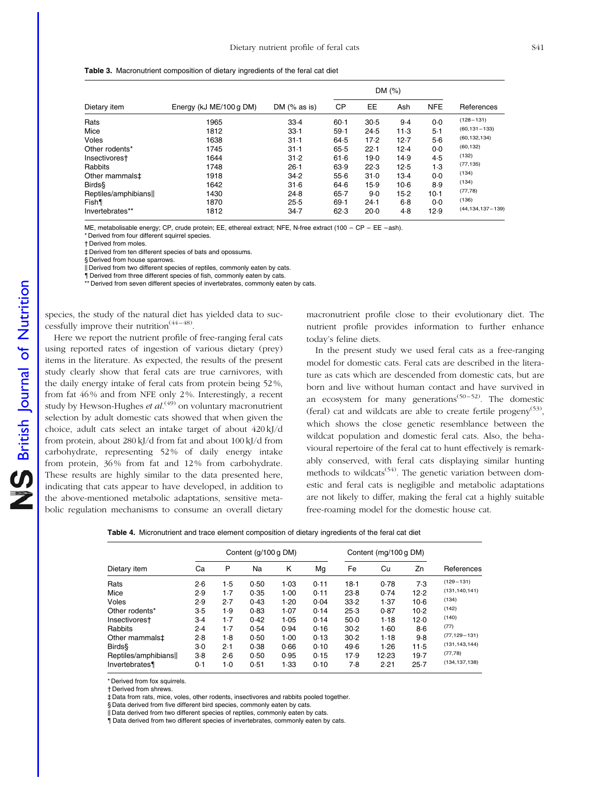<span id="page-6-0"></span>

|                            |                         |                |           |        | DM (%) |            |                        |
|----------------------------|-------------------------|----------------|-----------|--------|--------|------------|------------------------|
| Dietary item               | Energy (kJ ME/100 g DM) | DM $(%$ as is) | <b>CP</b> | EE.    | Ash    | <b>NFE</b> | References             |
| Rats                       | 1965                    | 33.4           | $60-1$    | 30.5   | 9.4    | $0-0$      | $(128 - 131)$          |
| Mice                       | 1812                    | $33-1$         | $59-1$    | 24.5   | $11-3$ | $5-1$      | $(60, 131 - 133)$      |
| Voles                      | 1638                    | $31-1$         | 64.5      | 17.2   | 12.7   | $5-6$      | (60, 132, 134)         |
| Other rodents*             | 1745                    | $31-1$         | 65.5      | 22.1   | 12.4   | $0 - 0$    | (60, 132)              |
| Insectivorest              | 1644                    | 31.2           | 61.6      | 19.0   | 14.9   | 4.5        | (132)                  |
| Rabbits                    | 1748                    | $26-1$         | 63.9      | 22.3   | 12.5   | 1.3        | (77, 135)              |
| Other mammals <sup>‡</sup> | 1918                    | 34.2           | 55.6      | 31.0   | $13-4$ | $0 - 0$    | (134)                  |
| <b>Birds&amp;</b>          | 1642                    | 31.6           | 64.6      | 15.9   | $10-6$ | 8.9        | (134)                  |
| Reptiles/amphibians        | 1430                    | 24.8           | $65 - 7$  | 9.0    | $15-2$ | $10-1$     | (77, 78)               |
| Fish                       | 1870                    | 25.5           | 69.1      | $24-1$ | $6-8$  | $0-0$      | (136)                  |
| Invertebrates**            | 1812                    | 34.7           | 62.3      | 20.0   | 4.8    | 12.9       | $(44, 134, 137 - 139)$ |

ME, metabolisable energy; CP, crude protein; EE, ethereal extract; NFE, N-free extract (100 – CP – EE –ash).

\* Derived from four different squirrel species.

† Derived from moles.

‡ Derived from ten different species of bats and opossums.

§ Derived from house sparrows.

Derived from two different species of reptiles, commonly eaten by cats.

{ Derived from three different species of fish, commonly eaten by cats.

\*\* Derived from seven different species of invertebrates, commonly eaten by cats.

species, the study of the natural diet has yielded data to successfully improve their nutrition<sup> $(44-48)$ </sup>.

Here we report the nutrient profile of free-ranging feral cats using reported rates of ingestion of various dietary (prey) items in the literature. As expected, the results of the present study clearly show that feral cats are true carnivores, with the daily energy intake of feral cats from protein being 52 %, from fat 46 % and from NFE only 2 %. Interestingly, a recent study by Hewson-Hughes et  $al^{(49)}$  on voluntary macronutrient selection by adult domestic cats showed that when given the choice, adult cats select an intake target of about 420 kJ/d from protein, about 280 kJ/d from fat and about 100 kJ/d from carbohydrate, representing 52 % of daily energy intake from protein, 36 % from fat and 12 % from carbohydrate. These results are highly similar to the data presented here, indicating that cats appear to have developed, in addition to the above-mentioned metabolic adaptations, sensitive metabolic regulation mechanisms to consume an overall dietary

macronutrient profile close to their evolutionary diet. The nutrient profile provides information to further enhance today's feline diets.

In the present study we used feral cats as a free-ranging model for domestic cats. Feral cats are described in the literature as cats which are descended from domestic cats, but are born and live without human contact and have survived in an ecosystem for many generations<sup> $(50-52)$ </sup>. The domestic (feral) cat and wildcats are able to create fertile progeny<sup>(53)</sup>, which shows the close genetic resemblance between the wildcat population and domestic feral cats. Also, the behavioural repertoire of the feral cat to hunt effectively is remarkably conserved, with feral cats displaying similar hunting methods to wildcats<sup> $(54)$ </sup>. The genetic variation between domestic and feral cats is negligible and metabolic adaptations are not likely to differ, making the feral cat a highly suitable free-roaming model for the domestic house cat.

|  | Table 4. Micronutrient and trace element composition of dietary ingredients of the feral cat diet |  |  |  |  |  |  |  |  |
|--|---------------------------------------------------------------------------------------------------|--|--|--|--|--|--|--|--|
|--|---------------------------------------------------------------------------------------------------|--|--|--|--|--|--|--|--|

|                            |       |       | Content (g/100 g DM) |      |      |        | Content (mg/100 g DM) |          |                   |  |
|----------------------------|-------|-------|----------------------|------|------|--------|-----------------------|----------|-------------------|--|
| Dietary item               | Сa    | P     | Na                   | Κ    | Mg   | Fe     | Cu                    | Zn       | References        |  |
| Rats                       | 2·6   | 1.5   | 0.50                 | 1.03 | 0.11 | $18-1$ | 0.78                  | 7.3      | $(129 - 131)$     |  |
| Mice                       | 2.9   | $1-7$ | 0.35                 | 1.00 | 0.11 | 23.8   | 0.74                  | 12.2     | (131, 140, 141)   |  |
| Voles                      | 2.9   | 2.7   | 0.43                 | 1.20 | 0.04 | 33.2   | 1.37                  | $10-6$   | (134)             |  |
| Other rodents*             | 3.5   | 1.9   | 0.83                 | 1.07 | 0.14 | 25.3   | 0.87                  | $10-2$   | (142)             |  |
| Insectivorest              | $3-4$ | $1-7$ | 0.42                 | 1.05 | 0.14 | $50-0$ | 1.18                  | 12.0     | (140)             |  |
| Rabbits                    | 2.4   | $1-7$ | 0.54                 | 0.94 | 0.16 | 30.2   | 1.60                  | $8-6$    | (77)              |  |
| Other mammals <sup>±</sup> | 2.8   | $1-8$ | 0.50                 | 1.00 | 0.13 | $30-2$ | 1.18                  | 9.8      | $(77, 129 - 131)$ |  |
| <b>Birds</b>               | 3.0   | 2.1   | 0.38                 | 0.66 | 0.10 | 49.6   | 1.26                  | $11-5$   | (131, 143, 144)   |  |
| Reptiles/amphibians        | $3-8$ | 2·6   | 0.50                 | 0.95 | 0.15 | 17.9   | 12.23                 | 19.7     | (77, 78)          |  |
| Invertebrates              | 0.1   | 1.0   | 0.51                 | 1.33 | 0.10 | 7.8    | 2.21                  | $25 - 7$ | (134, 137, 138)   |  |

\* Derived from fox squirrels.

† Derived from shrews.

‡ Data from rats, mice, voles, other rodents, insectivores and rabbits pooled together.

§ Data derived from five different bird species, commonly eaten by cats.

Il Data derived from two different species of reptiles, commonly eaten by cats.

{ Data derived from two different species of invertebrates, commonly eaten by cats.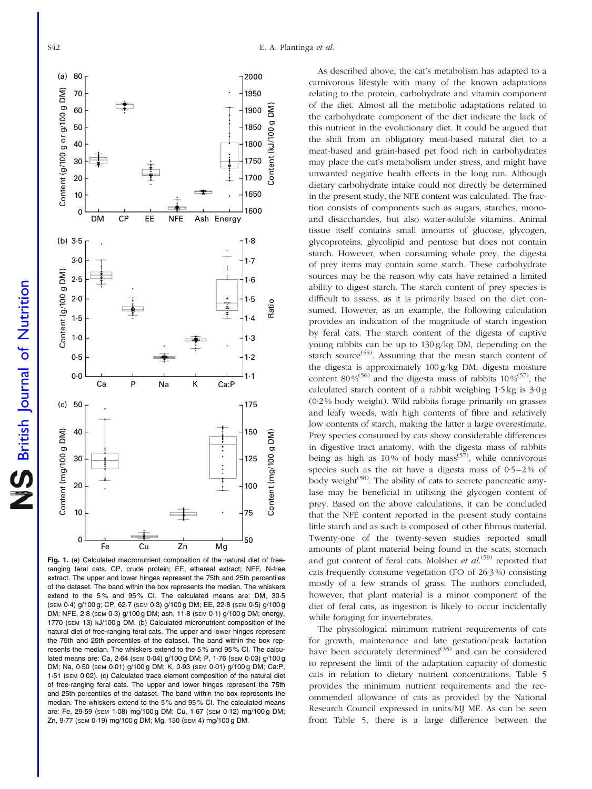<span id="page-7-0"></span>

British Journal of Nutrition

**S** British Journal of Nutrition



Fig. 1. (a) Calculated macronutrient composition of the natural diet of freeranging feral cats. CP, crude protein; EE, ethereal extract; NFE, N-free extract. The upper and lower hinges represent the 75th and 25th percentiles of the dataset. The band within the box represents the median. The whiskers extend to the 5% and 95% CI. The calculated means are: DM, 30.5 (SEM 0·4) g/100 g; CP, 62·7 (SEM 0·3) g/100 g DM; EE, 22·8 (SEM 0·5) g/100 g DM; NFE, 2·8 (SEM 0·3) g/100 g DM; ash, 11·8 (SEM 0·1) g/100 g DM; energy, 1770 (SEM 13) kJ/100 g DM. (b) Calculated micronutrient composition of the natural diet of free-ranging feral cats. The upper and lower hinges represent the 75th and 25th percentiles of the dataset. The band within the box represents the median. The whiskers extend to the 5 % and 95 % CI. The calculated means are: Ca, 2·64 (SEM 0·04) g/100 g DM; P, 1·76 (SEM 0·03) g/100 g DM; Na, 0·50 (SEM 0·01) g/100 g DM; K, 0·93 (SEM 0·01) g/100 g DM; Ca:P, 1·51 (SEM 0·02). (c) Calculated trace element composition of the natural diet of free-ranging feral cats. The upper and lower hinges represent the 75th and 25th percentiles of the dataset. The band within the box represents the median. The whiskers extend to the 5 % and 95 % CI. The calculated means are: Fe, 29·59 (SEM 1·08) mg/100 g DM; Cu, 1·67 (SEM 0·12) mg/100 g DM; Zn, 9·77 (SEM 0·19) mg/100 g DM; Mg, 130 (SEM 4) mg/100 g DM.

As described above, the cat's metabolism has adapted to a carnivorous lifestyle with many of the known adaptations relating to the protein, carbohydrate and vitamin component of the diet. Almost all the metabolic adaptations related to the carbohydrate component of the diet indicate the lack of this nutrient in the evolutionary diet. It could be argued that the shift from an obligatory meat-based natural diet to a meat-based and grain-based pet food rich in carbohydrates may place the cat's metabolism under stress, and might have unwanted negative health effects in the long run. Although dietary carbohydrate intake could not directly be determined in the present study, the NFE content was calculated. The fraction consists of components such as sugars, starches, monoand disaccharides, but also water-soluble vitamins. Animal tissue itself contains small amounts of glucose, glycogen, glycoproteins, glycolipid and pentose but does not contain starch. However, when consuming whole prey, the digesta of prey items may contain some starch. These carbohydrate sources may be the reason why cats have retained a limited ability to digest starch. The starch content of prey species is difficult to assess, as it is primarily based on the diet consumed. However, as an example, the following calculation provides an indication of the magnitude of starch ingestion by feral cats. The starch content of the digesta of captive young rabbits can be up to 130 g/kg DM, depending on the starch source<sup>(55)</sup>. Assuming that the mean starch content of the digesta is approximately 100 g/kg DM, digesta moisture content 80%<sup>(56)</sup> and the digesta mass of rabbits  $10\%^{57}$ , the calculated starch content of a rabbit weighing 1·5 kg is 3·0 g (0·2 % body weight). Wild rabbits forage primarily on grasses and leafy weeds, with high contents of fibre and relatively low contents of starch, making the latter a large overestimate. Prey species consumed by cats show considerable differences in digestive tract anatomy, with the digesta mass of rabbits being as high as  $10\%$  of body mass<sup>(57)</sup>, while omnivorous species such as the rat have a digesta mass of  $0.5-2\%$  of body weight<sup>(58)</sup>. The ability of cats to secrete pancreatic amylase may be beneficial in utilising the glycogen content of prey. Based on the above calculations, it can be concluded that the NFE content reported in the present study contains little starch and as such is composed of other fibrous material. Twenty-one of the twenty-seven studies reported small amounts of plant material being found in the scats, stomach and gut content of feral cats. Molsher *et al.*<sup>(59)</sup> reported that cats frequently consume vegetation (FO of 26·3 %) consisting mostly of a few strands of grass. The authors concluded, however, that plant material is a minor component of the diet of feral cats, as ingestion is likely to occur incidentally while foraging for invertebrates.

The physiological minimum nutrient requirements of cats for growth, maintenance and late gestation/peak lactation have been accurately determined $\overrightarrow{a}$  and can be considered to represent the limit of the adaptation capacity of domestic cats in relation to dietary nutrient concentrations. [Table 5](#page-8-0) provides the minimum nutrient requirements and the recommended allowance of cats as provided by the National Research Council expressed in units/MJ ME. As can be seen from [Table 5](#page-8-0), there is a large difference between the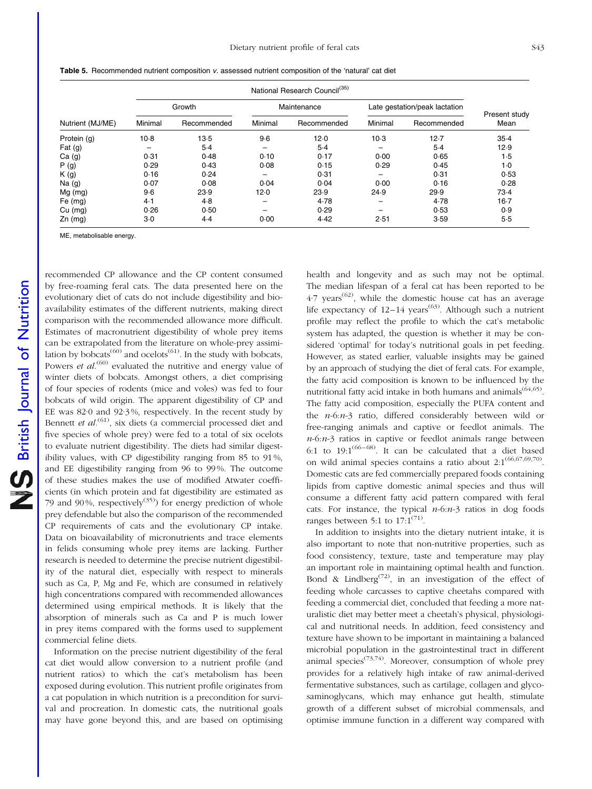|                  |         | Growth      |                          | Maintenance |         | Late gestation/peak lactation | Present study |
|------------------|---------|-------------|--------------------------|-------------|---------|-------------------------------|---------------|
| Nutrient (MJ/ME) | Minimal | Recommended | Minimal                  | Recommended | Minimal | Recommended                   | Mean          |
| Protein (g)      | $10-8$  | $13-5$      | 9.6                      | 12.0        | $10-3$  | $12 - 7$                      | $35-4$        |
| Fat $(g)$        |         | $5-4$       | $\overline{\phantom{m}}$ | $5-4$       |         | $5-4$                         | 12.9          |
| Ca(g)            | 0.31    | 0.48        | 0.10                     | 0.17        | 0.00    | 0.65                          | 1.5           |
| P(g)             | 0.29    | 0.43        | 0.08                     | 0.15        | 0.29    | 0.45                          | 1.0           |
| K(g)             | 0.16    | 0.24        | $\overline{\phantom{0}}$ | 0.31        |         | 0.31                          | 0.53          |
| Na $(g)$         | 0.07    | 0.08        | 0.04                     | 0.04        | 0.00    | 0.16                          | 0.28          |
| $Mg$ (mg)        | $9-6$   | 23.9        | 12.0                     | 23.9        | 24.9    | 29.9                          | 73.4          |
| Fe $(mg)$        | 4.1     | 4.8         | $\overline{\phantom{m}}$ | 4.78        |         | 4.78                          | $16-7$        |
| $Cu$ (mg)        | 0.26    | 0.50        |                          | 0.29        |         | 0.53                          | 0.9           |
| $Zn$ (mg)        | $3-0$   | $4-4$       | 0.00                     | 4.42        | 2.51    | 3.59                          | 5.5           |

<span id="page-8-0"></span>Table 5. Recommended nutrient composition v. assessed nutrient composition of the 'natural' cat diet

MF, metabolisable energy.

recommended CP allowance and the CP content consumed by free-roaming feral cats. The data presented here on the evolutionary diet of cats do not include digestibility and bioavailability estimates of the different nutrients, making direct comparison with the recommended allowance more difficult. Estimates of macronutrient digestibility of whole prey items can be extrapolated from the literature on whole-prey assimilation by bobcats<sup>(60)</sup> and ocelots<sup>(61)</sup>. In the study with bobcats, Powers *et al*.<sup>(60)</sup> evaluated the nutritive and energy value of winter diets of bobcats. Amongst others, a diet comprising of four species of rodents (mice and voles) was fed to four bobcats of wild origin. The apparent digestibility of CP and EE was 82·0 and 92·3 %, respectively. In the recent study by Bennett et  $al^{(61)}$ , six diets (a commercial processed diet and five species of whole prey) were fed to a total of six ocelots to evaluate nutrient digestibility. The diets had similar digestibility values, with CP digestibility ranging from 85 to 91 %, and EE digestibility ranging from 96 to 99 %. The outcome of these studies makes the use of modified Atwater coefficients (in which protein and fat digestibility are estimated as 79 and 90%, respectively<sup>(35)</sup> for energy prediction of whole prey defendable but also the comparison of the recommended CP requirements of cats and the evolutionary CP intake. Data on bioavailability of micronutrients and trace elements in felids consuming whole prey items are lacking. Further research is needed to determine the precise nutrient digestibility of the natural diet, especially with respect to minerals such as Ca, P, Mg and Fe, which are consumed in relatively high concentrations compared with recommended allowances determined using empirical methods. It is likely that the absorption of minerals such as Ca and P is much lower in prey items compared with the forms used to supplement commercial feline diets.

Information on the precise nutrient digestibility of the feral cat diet would allow conversion to a nutrient profile (and nutrient ratios) to which the cat's metabolism has been exposed during evolution. This nutrient profile originates from a cat population in which nutrition is a precondition for survival and procreation. In domestic cats, the nutritional goals may have gone beyond this, and are based on optimising health and longevity and as such may not be optimal. The median lifespan of a feral cat has been reported to be  $4.7$  years<sup>(62)</sup>, while the domestic house cat has an average life expectancy of  $12-14$  years<sup>(63)</sup>. Although such a nutrient profile may reflect the profile to which the cat's metabolic system has adapted, the question is whether it may be considered 'optimal' for today's nutritional goals in pet feeding. However, as stated earlier, valuable insights may be gained by an approach of studying the diet of feral cats. For example, the fatty acid composition is known to be influenced by the nutritional fatty acid intake in both humans and animals<sup> $(64,65)$ </sup>. The fatty acid composition, especially the PUFA content and the n-6:n-3 ratio, differed considerably between wild or free-ranging animals and captive or feedlot animals. The  $n-6:n-3$  ratios in captive or feedlot animals range between 6:1 to  $19:1^{(66-68)}$ . It can be calculated that a diet based on wild animal species contains a ratio about  $2:1^{(66,67,69,70)}$ . Domestic cats are fed commercially prepared foods containing lipids from captive domestic animal species and thus will consume a different fatty acid pattern compared with feral cats. For instance, the typical  $n-6: n-3$  ratios in dog foods ranges between 5:1 to  $17:1^{(71)}$ .

In addition to insights into the dietary nutrient intake, it is also important to note that non-nutritive properties, such as food consistency, texture, taste and temperature may play an important role in maintaining optimal health and function. Bond & Lindberg<sup>(72)</sup>, in an investigation of the effect of feeding whole carcasses to captive cheetahs compared with feeding a commercial diet, concluded that feeding a more naturalistic diet may better meet a cheetah's physical, physiological and nutritional needs. In addition, feed consistency and texture have shown to be important in maintaining a balanced microbial population in the gastrointestinal tract in different animal species<sup> $(73,74)$ </sup>. Moreover, consumption of whole prey provides for a relatively high intake of raw animal-derived fermentative substances, such as cartilage, collagen and glycosaminoglycans, which may enhance gut health, stimulate growth of a different subset of microbial commensals, and optimise immune function in a different way compared with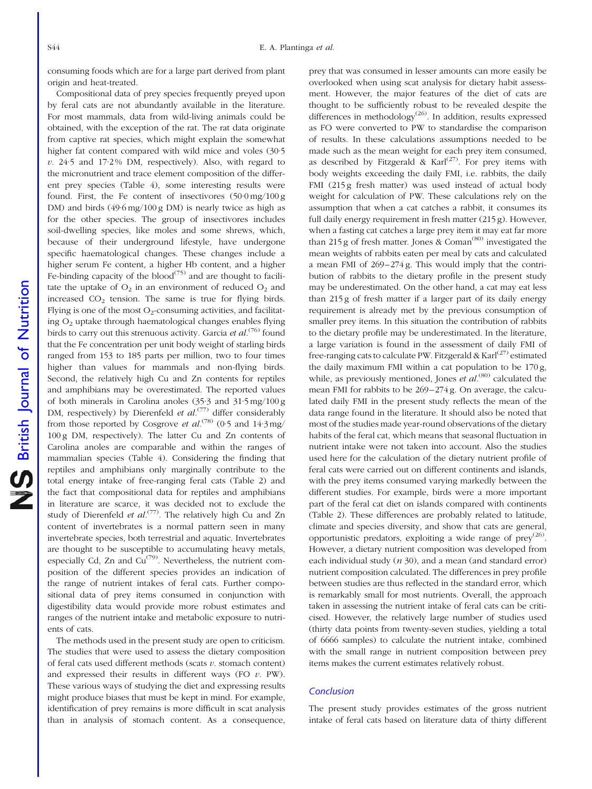consuming foods which are for a large part derived from plant origin and heat-treated.

Compositional data of prey species frequently preyed upon by feral cats are not abundantly available in the literature. For most mammals, data from wild-living animals could be obtained, with the exception of the rat. The rat data originate from captive rat species, which might explain the somewhat higher fat content compared with wild mice and voles (30·5  $v. 24.5$  and  $17.2\%$  DM, respectively). Also, with regard to the micronutrient and trace element composition of the different prey species [\(Table 4](#page-6-0)), some interesting results were found. First, the Fe content of insectivores (50·0 mg/100 g DM) and birds (49·6 mg/100 g DM) is nearly twice as high as for the other species. The group of insectivores includes soil-dwelling species, like moles and some shrews, which, because of their underground lifestyle, have undergone specific haematological changes. These changes include a higher serum Fe content, a higher Hb content, and a higher Fe-binding capacity of the blood<sup> $(75)$ </sup> and are thought to facilitate the uptake of  $O_2$  in an environment of reduced  $O_2$  and increased  $CO<sub>2</sub>$  tension. The same is true for flying birds. Flying is one of the most  $O_2$ -consuming activities, and facilitating  $O<sub>2</sub>$  uptake through haematological changes enables flying birds to carry out this strenuous activity. Garcia *et al.*<sup>(76)</sup> found that the Fe concentration per unit body weight of starling birds ranged from 153 to 185 parts per million, two to four times higher than values for mammals and non-flying birds. Second, the relatively high Cu and Zn contents for reptiles and amphibians may be overestimated. The reported values of both minerals in Carolina anoles (35·3 and 31·5 mg/100 g DM, respectively) by Dierenfeld *et al.*<sup>(77)</sup> differ considerably from those reported by Cosgrove et  $al^{(78)}$  (0.5 and 14.3 mg/ 100 g DM, respectively). The latter Cu and Zn contents of Carolina anoles are comparable and within the ranges of mammalian species ([Table 4](#page-6-0)). Considering the finding that reptiles and amphibians only marginally contribute to the total energy intake of free-ranging feral cats ([Table 2\)](#page-5-0) and the fact that compositional data for reptiles and amphibians in literature are scarce, it was decided not to exclude the study of Dierenfeld et  $al^{(77)}$ . The relatively high Cu and Zn content of invertebrates is a normal pattern seen in many invertebrate species, both terrestrial and aquatic. Invertebrates are thought to be susceptible to accumulating heavy metals, especially Cd, Zn and  $Cu^{(79)}$ . Nevertheless, the nutrient composition of the different species provides an indication of the range of nutrient intakes of feral cats. Further compositional data of prey items consumed in conjunction with digestibility data would provide more robust estimates and ranges of the nutrient intake and metabolic exposure to nutrients of cats.

The methods used in the present study are open to criticism. The studies that were used to assess the dietary composition of feral cats used different methods (scats  $v$ . stomach content) and expressed their results in different ways (FO  $v$ . PW). These various ways of studying the diet and expressing results might produce biases that must be kept in mind. For example, identification of prey remains is more difficult in scat analysis than in analysis of stomach content. As a consequence,

prey that was consumed in lesser amounts can more easily be overlooked when using scat analysis for dietary habit assessment. However, the major features of the diet of cats are thought to be sufficiently robust to be revealed despite the differences in methodology<sup>(26)</sup>. In addition, results expressed as FO were converted to PW to standardise the comparison of results. In these calculations assumptions needed to be made such as the mean weight for each prey item consumed, as described by Fitzgerald &  $Karl^{(27)}$ . For prey items with body weights exceeding the daily FMI, i.e. rabbits, the daily FMI (215 g fresh matter) was used instead of actual body weight for calculation of PW. These calculations rely on the assumption that when a cat catches a rabbit, it consumes its full daily energy requirement in fresh matter (215 g). However, when a fasting cat catches a large prey item it may eat far more than 215 g of fresh matter. Jones & Coman<sup> $(80)$ </sup> investigated the mean weights of rabbits eaten per meal by cats and calculated a mean FMI of 269–274 g. This would imply that the contribution of rabbits to the dietary profile in the present study may be underestimated. On the other hand, a cat may eat less than 215 g of fresh matter if a larger part of its daily energy requirement is already met by the previous consumption of smaller prey items. In this situation the contribution of rabbits to the dietary profile may be underestimated. In the literature, a large variation is found in the assessment of daily FMI of free-ranging cats to calculate PW. Fitzgerald & Karl<sup>(27)</sup> estimated the daily maximum FMI within a cat population to be  $170 g$ , while, as previously mentioned, Jones *et al.*<sup>(80)</sup> calculated the mean FMI for rabbits to be 269–274 g. On average, the calculated daily FMI in the present study reflects the mean of the data range found in the literature. It should also be noted that most of the studies made year-round observations of the dietary habits of the feral cat, which means that seasonal fluctuation in nutrient intake were not taken into account. Also the studies used here for the calculation of the dietary nutrient profile of feral cats were carried out on different continents and islands, with the prey items consumed varying markedly between the different studies. For example, birds were a more important part of the feral cat diet on islands compared with continents [\(Table 2](#page-5-0)). These differences are probably related to latitude, climate and species diversity, and show that cats are general, opportunistic predators, exploiting a wide range of  $prey^{(26)}$ . However, a dietary nutrient composition was developed from each individual study  $(n 30)$ , and a mean (and standard error) nutrient composition calculated. The differences in prey profile between studies are thus reflected in the standard error, which is remarkably small for most nutrients. Overall, the approach taken in assessing the nutrient intake of feral cats can be criticised. However, the relatively large number of studies used (thirty data points from twenty-seven studies, yielding a total of 6666 samples) to calculate the nutrient intake, combined with the small range in nutrient composition between prey items makes the current estimates relatively robust.

#### **Conclusion**

The present study provides estimates of the gross nutrient intake of feral cats based on literature data of thirty different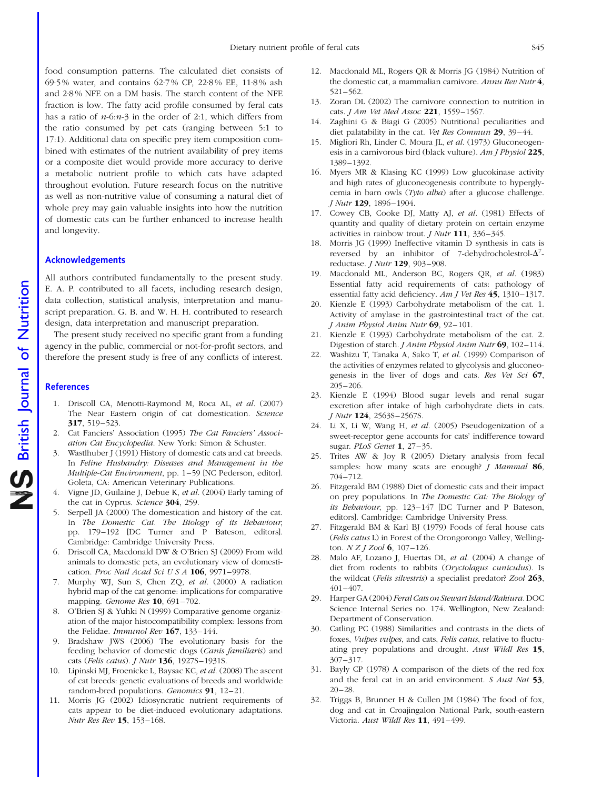food consumption patterns. The calculated diet consists of 69·5 % water, and contains 62·7 % CP, 22·8 % EE, 11·8 % ash and 2·8 % NFE on a DM basis. The starch content of the NFE fraction is low. The fatty acid profile consumed by feral cats has a ratio of  $n-6$ : $n-3$  in the order of 2:1, which differs from the ratio consumed by pet cats (ranging between 5:1 to 17:1). Additional data on specific prey item composition combined with estimates of the nutrient availability of prey items or a composite diet would provide more accuracy to derive a metabolic nutrient profile to which cats have adapted throughout evolution. Future research focus on the nutritive as well as non-nutritive value of consuming a natural diet of whole prey may gain valuable insights into how the nutrition of domestic cats can be further enhanced to increase health and longevity.

### Acknowledgements

All authors contributed fundamentally to the present study. E. A. P. contributed to all facets, including research design, data collection, statistical analysis, interpretation and manuscript preparation. G. B. and W. H. H. contributed to research design, data interpretation and manuscript preparation.

The present study received no specific grant from a funding agency in the public, commercial or not-for-profit sectors, and therefore the present study is free of any conflicts of interest.

#### **References**

- 1. Driscoll CA, Menotti-Raymond M, Roca AL, et al. (2007) The Near Eastern origin of cat domestication. Science 317, 519–523.
- 2. Cat Fanciers' Association (1995) The Cat Fanciers' Association Cat Encyclopedia. New York: Simon & Schuster.
- 3. Wastlhuber J (1991) History of domestic cats and cat breeds. In Feline Husbandry: Diseases and Management in the Multiple-Cat Environment, pp. 1–59 [NC Pederson, editor]. Goleta, CA: American Veterinary Publications.
- 4. Vigne JD, Guilaine J, Debue K, et al. (2004) Early taming of the cat in Cyprus. Science 304, 259.
- 5. Serpell JA (2000) The domestication and history of the cat. In The Domestic Cat. The Biology of its Behaviour, pp. 179–192 [DC Turner and P Bateson, editors]. Cambridge: Cambridge University Press.
- 6. Driscoll CA, Macdonald DW & O'Brien SJ (2009) From wild animals to domestic pets, an evolutionary view of domestication. Proc Natl Acad Sci U S A 106, 9971–9978.
- 7. Murphy WJ, Sun S, Chen ZQ, et al. (2000) A radiation hybrid map of the cat genome: implications for comparative mapping. Genome Res 10, 691-702.
- 8. O'Brien SJ & Yuhki N (1999) Comparative genome organization of the major histocompatibility complex: lessons from the Felidae. Immunol Rev 167, 133-144.
- 9. Bradshaw JWS (2006) The evolutionary basis for the feeding behavior of domestic dogs (Canis familiaris) and cats (Felis catus). J Nutr 136, 1927S–1931S.
- 10. Lipinski MJ, Froenicke L, Baysac KC, et al. (2008) The ascent of cat breeds: genetic evaluations of breeds and worldwide random-bred populations. Genomics 91, 12–21.
- 11. Morris JG (2002) Idiosyncratic nutrient requirements of cats appear to be diet-induced evolutionary adaptations. Nutr Res Rev 15, 153–168.
- 12. Macdonald ML, Rogers QR & Morris JG (1984) Nutrition of the domestic cat, a mammalian carnivore. Annu Rev Nutr 4, 521–562.
- 13. Zoran DL (2002) The carnivore connection to nutrition in cats. *J Am Vet Med Assoc* 221, 1559-1567.
- 14. Zaghini G & Biagi G (2005) Nutritional peculiarities and diet palatability in the cat. Vet Res Commun 29, 39–44.
- 15. Migliori Rh, Linder C, Moura JL, et al. (1973) Gluconeogenesis in a carnivorous bird (black vulture). Am J Physiol 225, 1389–1392.
- 16. Myers MR & Klasing KC (1999) Low glucokinase activity and high rates of gluconeogenesis contribute to hyperglycemia in barn owls (Tyto alba) after a glucose challenge. J Nutr 129, 1896–1904.
- 17. Cowey CB, Cooke DJ, Matty AJ, et al. (1981) Effects of quantity and quality of dietary protein on certain enzyme activities in rainbow trout. J Nutr 111, 336–345.
- 18. Morris JG (1999) Ineffective vitamin D synthesis in cats is reversed by an inhibitor of 7-dehydrocholestrol- $\Delta$ <sup>7</sup>reductase. J Nutr 129, 903–908.
- 19. Macdonald ML, Anderson BC, Rogers QR, et al. (1983) Essential fatty acid requirements of cats: pathology of essential fatty acid deficiency. Am J Vet Res 45, 1310–1317.
- 20. Kienzle E (1993) Carbohydrate metabolism of the cat. 1. Activity of amylase in the gastrointestinal tract of the cat. J Anim Physiol Anim Nutr 69, 92–101.
- 21. Kienzle E (1993) Carbohydrate metabolism of the cat. 2. Digestion of starch. *J Anim Physiol Anim Nutr* 69, 102–114.
- Washizu T, Tanaka A, Sako T, et al. (1999) Comparison of the activities of enzymes related to glycolysis and gluconeogenesis in the liver of dogs and cats. Res Vet Sci 67, 205–206.
- 23. Kienzle E (1994) Blood sugar levels and renal sugar excretion after intake of high carbohydrate diets in cats. J Nutr 124, 2563S–2567S.
- 24. Li X, Li W, Wang H, et al. (2005) Pseudogenization of a sweet-receptor gene accounts for cats' indifference toward sugar. PLoS Genet 1, 27–35.
- 25. Trites AW & Joy R (2005) Dietary analysis from fecal samples: how many scats are enough? *J Mammal* 86, 704–712.
- 26. Fitzgerald BM (1988) Diet of domestic cats and their impact on prey populations. In The Domestic Cat: The Biology of its Behaviour, pp. 123–147 [DC Turner and P Bateson, editors]. Cambridge: Cambridge University Press.
- 27. Fitzgerald BM & Karl BJ (1979) Foods of feral house cats (Felis catus L) in Forest of the Orongorongo Valley, Wellington.  $N Z I Zool 6$ , 107-126.
- 28. Malo AF, Lozano J, Huertas DL, et al. (2004) A change of diet from rodents to rabbits (Oryctolagus cuniculus). Is the wildcat (Felis silvestris) a specialist predator? Zool 263, 401–407.
- 29. Harper GA (2004) Feral Cats on Stewart Island/Rakiura. DOC Science Internal Series no. 174. Wellington, New Zealand: Department of Conservation.
- 30. Catling PC (1988) Similarities and contrasts in the diets of foxes, Vulpes vulpes, and cats, Felis catus, relative to fluctuating prey populations and drought. Aust Wildl Res 15, 307–317.
- 31. Bayly CP (1978) A comparison of the diets of the red fox and the feral cat in an arid environment. *S Aust Nat* 53,  $20 - 28.$
- 32. Triggs B, Brunner H & Cullen JM (1984) The food of fox, dog and cat in Croajingalon National Park, south-eastern Victoria. Aust Wildl Res 11, 491–499.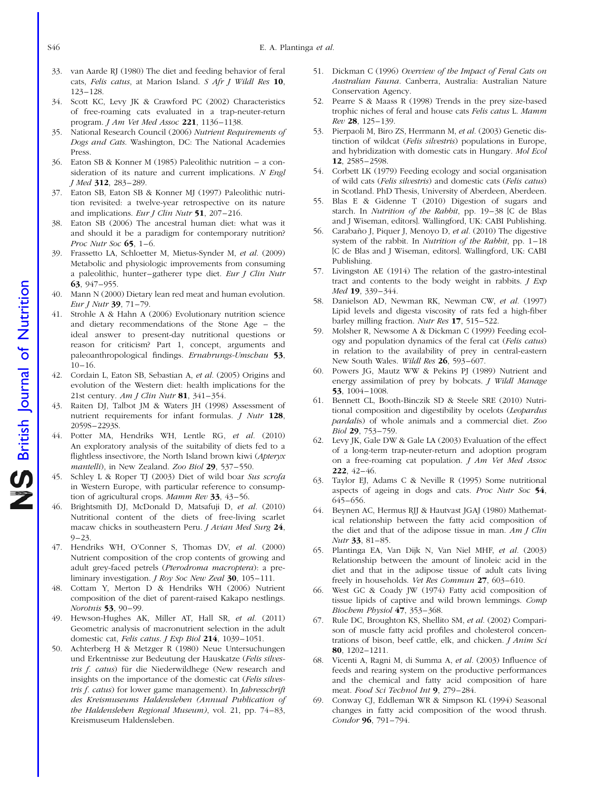- S46 E. A. Plantinga *et al.*
- 33. van Aarde RJ (1980) The diet and feeding behavior of feral cats, Felis catus, at Marion Island. S Afr J Wildl Res 10, 123–128.
- 34. Scott KC, Levy JK & Crawford PC (2002) Characteristics of free-roaming cats evaluated in a trap-neuter-return program. J Am Vet Med Assoc 221, 1136-1138.
- 35. National Research Council (2006) Nutrient Requirements of Dogs and Cats. Washington, DC: The National Academies Press.
- 36. Eaton SB & Konner M (1985) Paleolithic nutrition a consideration of its nature and current implications. N Engl J Med 312, 283–289.
- 37. Eaton SB, Eaton SB & Konner MJ (1997) Paleolithic nutrition revisited: a twelve-year retrospective on its nature and implications. Eur *I Clin Nutr* 51, 207-216.
- 38. Eaton SB (2006) The ancestral human diet: what was it and should it be a paradigm for contemporary nutrition? Proc Nutr Soc 65, 1–6.
- 39. Frassetto LA, Schloetter M, Mietus-Synder M, et al. (2009) Metabolic and physiologic improvements from consuming a paleolithic, hunter–gatherer type diet. Eur J Clin Nutr 63, 947–955.
- 40. Mann N (2000) Dietary lean red meat and human evolution. Eur J Nutr 39, 71–79.
- 41. Strohle A & Hahn A (2006) Evolutionary nutrition science and dietary recommendations of the Stone Age – the ideal answer to present-day nutritional questions or reason for criticism? Part 1, concept, arguments and paleoanthropological findings. Ernahrungs-Umschau 53, 10–16.
- 42. Cordain L, Eaton SB, Sebastian A, et al. (2005) Origins and evolution of the Western diet: health implications for the 21st century. Am J Clin Nutr 81, 341-354.
- 43. Raiten DJ, Talbot JM & Waters JH (1998) Assessment of nutrient requirements for infant formulas. *J Nutr* 128, 2059S–2293S.
- 44. Potter MA, Hendriks WH, Lentle RG, et al. (2010) An exploratory analysis of the suitability of diets fed to a flightless insectivore, the North Island brown kiwi (Apteryx mantelli), in New Zealand. Zoo Biol 29, 537–550.
- 45. Schley L & Roper TJ (2003) Diet of wild boar Sus scrofa in Western Europe, with particular reference to consumption of agricultural crops. Mamm Rev 33, 43–56.
- 46. Brightsmith DJ, McDonald D, Matsafuji D, et al. (2010) Nutritional content of the diets of free-living scarlet macaw chicks in southeastern Peru. *J Avian Med Surg* 24,  $9 - 23$ .
- 47. Hendriks WH, O'Conner S, Thomas DV, et al. (2000) Nutrient composition of the crop contents of growing and adult grey-faced petrels (Pterodroma macroptera): a preliminary investigation. *J Roy Soc New Zeal* 30, 105–111.
- 48. Cottam Y, Merton D & Hendriks WH (2006) Nutrient composition of the diet of parent-raised Kakapo nestlings. Norotnis 53, 90–99.
- 49. Hewson-Hughes AK, Miller AT, Hall SR, et al. (2011) Geometric analysis of macronutrient selection in the adult domestic cat, Felis catus. J Exp Biol 214, 1039-1051.
- 50. Achterberg H & Metzger R (1980) Neue Untersuchungen und Erkentnisse zur Bedeutung der Hauskatze (Felis silvestris f. catus) für die Niederwildhege (New research and insights on the importance of the domestic cat (Felis silvestris f. catus) for lower game management). In Jahresschrift des Kreismuseums Haldensleben (Annual Publication of the Haldensleben Regional Museum), vol. 21, pp. 74–83, Kreismuseum Haldensleben.
- 51. Dickman C (1996) Overview of the Impact of Feral Cats on Australian Fauna. Canberra, Australia: Australian Nature Conservation Agency.
- 52. Pearre S & Maass R (1998) Trends in the prey size-based trophic niches of feral and house cats Felis catus L. Mamm Rev 28, 125–139.
- 53. Pierpaoli M, Biro ZS, Herrmann M, et al. (2003) Genetic distinction of wildcat (Felis silvestris) populations in Europe, and hybridization with domestic cats in Hungary. Mol Ecol 12, 2585–2598.
- 54. Corbett LK (1979) Feeding ecology and social organisation of wild cats (Felis silvestris) and domestic cats (Felis catus) in Scotland. PhD Thesis, University of Aberdeen, Aberdeen.
- 55. Blas E & Gidenne T (2010) Digestion of sugars and starch. In Nutrition of the Rabbit, pp. 19–38 [C de Blas and J Wiseman, editorsl. Wallingford, UK: CABI Publishing.
- 56. Carabaño J, Piquer J, Menoyo D, et al. (2010) The digestive system of the rabbit. In Nutrition of the Rabbit, pp. 1–18 [C de Blas and J Wiseman, editors]. Wallingford, UK: CABI Publishing.
- 57. Livingston AE (1914) The relation of the gastro-intestinal tract and contents to the body weight in rabbits.  $J$  Exp Med 19, 339–344.
- 58. Danielson AD, Newman RK, Newman CW, et al. (1997) Lipid levels and digesta viscosity of rats fed a high-fiber barley milling fraction. Nutr Res 17, 515–522.
- 59. Molsher R, Newsome A & Dickman C (1999) Feeding ecology and population dynamics of the feral cat (Felis catus) in relation to the availability of prey in central-eastern New South Wales. Wildl Res 26, 593–607.
- 60. Powers JG, Mautz WW & Pekins PJ (1989) Nutrient and energy assimilation of prey by bobcats. J Wildl Manage 53, 1004–1008.
- 61. Bennett CL, Booth-Binczik SD & Steele SRE (2010) Nutritional composition and digestibility by ocelots (Leopardus pardalis) of whole animals and a commercial diet. Zoo Biol 29, 753–759.
- 62. Levy JK, Gale DW & Gale LA (2003) Evaluation of the effect of a long-term trap-neuter-return and adoption program on a free-roaming cat population. J Am Vet Med Assoc 222, 42–46.
- 63. Taylor EJ, Adams C & Neville R (1995) Some nutritional aspects of ageing in dogs and cats. Proc Nutr Soc 54, 645–656.
- 64. Beynen AC, Hermus RJJ & Hautvast JGAJ (1980) Mathematical relationship between the fatty acid composition of the diet and that of the adipose tissue in man. Am  $J$  Clin Nutr 33, 81–85.
- 65. Plantinga EA, Van Dijk N, Van Niel MHF, et al. (2003) Relationship between the amount of linoleic acid in the diet and that in the adipose tissue of adult cats living freely in households. Vet Res Commun 27, 603–610.
- 66. West GC & Coady JW (1974) Fatty acid composition of tissue lipids of captive and wild brown lemmings. Comp Biochem Physiol 47, 353–368.
- 67. Rule DC, Broughton KS, Shellito SM, et al. (2002) Comparison of muscle fatty acid profiles and cholesterol concentrations of bison, beef cattle, elk, and chicken. J Anim Sci 80, 1202–1211.
- 68. Vicenti A, Ragni M, di Summa A, et al. (2003) Influence of feeds and rearing system on the productive performances and the chemical and fatty acid composition of hare meat. Food Sci Technol Int 9, 279–284.
- 69. Conway CJ, Eddleman WR & Simpson KL (1994) Seasonal changes in fatty acid composition of the wood thrush. Condor 96, 791–794.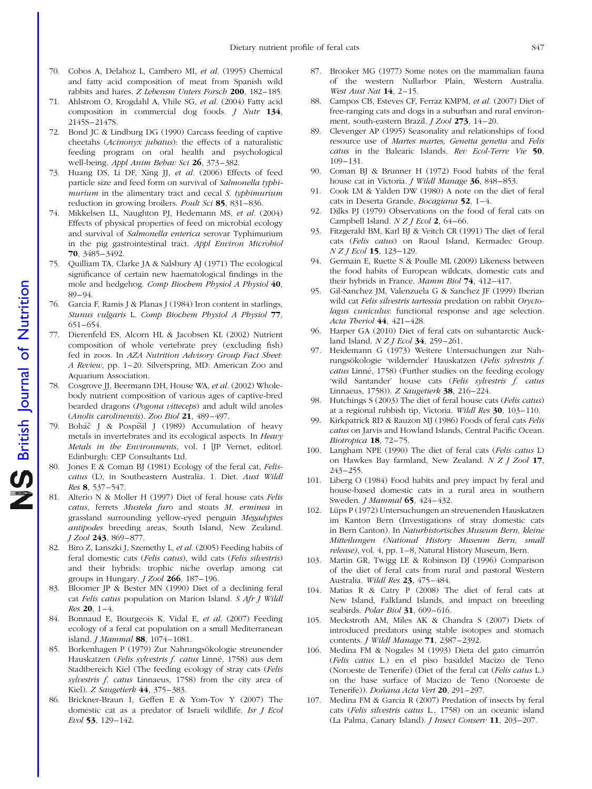- 70. Cobos A, Delahoz L, Cambero MI, et al. (1995) Chemical and fatty acid composition of meat from Spanish wild rabbits and hares. Z Lebensm Unters Forsch 200, 182–185.
- 71. Ahlstrom O, Krogdahl A, Vhile SG, et al. (2004) Fatty acid composition in commercial dog foods. J Nutr 134, 2145S–2147S.
- 72. Bond JC & Lindburg DG (1990) Carcass feeding of captive cheetahs (Acinonyx jubatus): the effects of a naturalistic feeding program on oral health and psychological well-being. Appl Anim Behav Sci 26, 373-382.
- 73. Huang DS, Li DF, Xing JJ, et al. (2006) Effects of feed particle size and feed form on survival of Salmonella typhimurium in the alimentary tract and cecal *S. typhimurium* reduction in growing broilers. Poult Sci 85, 831–836.
- 74. Mikkelsen LL, Naughton PJ, Hedemann MS, et al. (2004) Effects of physical properties of feed on microbial ecology and survival of Salmonella enterica serovar Typhimurium in the pig gastrointestinal tract. Appl Environ Microbiol 70, 3485–3492.
- 75. Quilliam TA, Clarke JA & Salsbury AJ (1971) The ecological significance of certain new haematological findings in the mole and hedgehog. Comp Biochem Physiol A Physiol 40, 89–94.
- 76. Garcia F, Ramis J & Planas J (1984) Iron content in starlings, Stunus vulgaris L. Comp Biochem Physiol A Physiol 77, 651–654.
- 77. Dierenfeld ES, Alcorn HL & Jacobsen KL (2002) Nutrient composition of whole vertebrate prey (excluding fish) fed in zoos. In AZA Nutrition Advisory Group Fact Sheet: A Review, pp. 1–20. Silverspring, MD: American Zoo and Aquarium Association.
- 78. Cosgrove JJ, Beermann DH, House WA, et al. (2002) Wholebody nutrient composition of various ages of captive-bred bearded dragons (Pogona vitteceps) and adult wild anoles (Anolis carolinensis). Zoo Biol 21, 489–497.
- 79. Boháč J & Pospíšil J (1989) Accumulation of heavy metals in invertebrates and its ecological aspects. In Heavy Metals in the Environments, vol. I [JP Vernet, editor]. Edinburgh: CEP Consultants Ltd.
- 80. Jones E & Coman BJ (1981) Ecology of the feral cat, Feliscatus (L), in Southeastern Australia. 1. Diet. Aust Wildl Res 8, 537–547.
- 81. Alterio N & Moller H (1997) Diet of feral house cats Felis catus, ferrets Mustela furo and stoats M. erminea in grassland surrounding yellow-eyed penguin Megadyptes antipodes breeding areas, South Island, New Zealand. J Zool 243, 869–877.
- 82. Biro Z, Lanszki J, Szemethy L, et al. (2005) Feeding habits of feral domestic cats (Felis catus), wild cats (Felis silvestris) and their hybrids: trophic niche overlap among cat groups in Hungary.  $I Zool$  266, 187-196.
- 83. Bloomer JP & Bester MN (1990) Diet of a declining feral cat Felis catus population on Marion Island. S Afr J Wildl Res 20, 1–4.
- 84. Bonnaud E, Bourgeois K, Vidal E, et al. (2007) Feeding ecology of a feral cat population on a small Mediterranean island. J Mammal 88, 1074–1081.
- 85. Borkenhagen P (1979) Zur Nahrungsökologie streunender Hauskatzen (Felis sylvestris f. catus Linné, 1758) aus dem Stadtbereich Kiel (The feeding ecology of stray cats (Felis sylvestris f. catus Linnaeus, 1758) from the city area of Kiel). Z Saugetierk 44, 375–383.
- 86. Brickner-Braun I, Geffen E & Yom-Tov Y (2007) The domestic cat as a predator of Israeli wildlife. Isr J Ecol Evol 53, 129–142.
- Brooker MG (1977) Some notes on the mammalian fauna of the western Nullarbor Plain, Western Australia. West Aust Nat 14, 2-15.
- 88. Campos CB, Esteves CF, Ferraz KMPM, et al. (2007) Diet of free-ranging cats and dogs in a suburban and rural environment, south-eastern Brazil. J Zool 273, 14–20.
- Clevenger AP (1995) Seasonality and relationships of food resource use of Martes martes, Genetta genetta and Felis catus in the Balearic Islands. Rev Ecol-Terre Vie 50, 109–131.
- 90. Coman BJ & Brunner H (1972) Food habits of the feral house cat in Victoria. *J Wildl Manage* 36, 848-853.
- 91. Cook LM & Yalden DW (1980) A note on the diet of feral cats in Deserta Grande. Bocagiana 52, 1–4.
- 92. Dilks PJ (1979) Observations on the food of feral cats on Campbell Island.  $NZ$  *I Ecol* **2**, 64–66.
- 93. Fitzgerald BM, Karl BJ & Veitch CR (1991) The diet of feral cats (Felis catus) on Raoul Island, Kermadec Group. N Z J Ecol 15, 123-129.
- 94. Germain E, Ruette S & Poulle ML (2009) Likeness between the food habits of European wildcats, domestic cats and their hybrids in France. Mamm Biol 74, 412–417.
- 95. Gil-Sanchez JM, Valenzuela G & Sanchez JF (1999) Iberian wild cat Felis silvestris tartessia predation on rabbit Oryctolagus cuniculus: functional response and age selection. Acta Theriol 44, 421–428.
- 96. Harper GA (2010) Diet of feral cats on subantarctic Auckland Island.  $N Z J Ecol$  34, 259–261.
- 97. Heidemann G (1973) Weitere Untersuchungen zur Nahrungsökologie 'wildernder' Hauskatzen (Felis sylvestris f. catus Linné, 1758) (Further studies on the feeding ecology 'wild Santander' house cats (Felis sylvestris f. catus Linnaeus, 1758)). Z Saugetierk 38, 216–224.
- 98. Hutchings S (2003) The diet of feral house cats (Felis catus) at a regional rubbish tip, Victoria. Wildl Res 30, 103–110.
- 99. Kirkpatrick RD & Rauzon MJ (1986) Foods of feral cats Felis catus on Jarvis and Howland Islands, Central Pacific Ocean. Biotropica 18, 72–75.
- 100. Langham NPE (1990) The diet of feral cats (Felis catus L) on Hawkes Bay farmland, New Zealand. N Z J Zool 17, 243–255.
- 101. Liberg O (1984) Food habits and prey impact by feral and house-based domestic cats in a rural area in southern Sweden. J Mammal 65, 424–432.
- 102. Lüps P (1972) Untersuchungen an streuenenden Hauskatzen im Kanton Bern (Investigations of stray domestic cats in Bern Canton). In Naturhistorisches Museum Bern, kleine Mitteilungen (National History Museum Bern, small release), vol. 4, pp. 1–8, Natural History Museum, Bern.
- 103. Martin GR, Twigg LE & Robinson DJ (1996) Comparison of the diet of feral cats from rural and pastoral Western Australia. Wildl Res 23, 475–484.
- 104. Matias R & Catry P (2008) The diet of feral cats at New Island, Falkland Islands, and impact on breeding seabirds. Polar Biol 31, 609-616.
- 105. Meckstroth AM, Miles AK & Chandra S (2007) Diets of introduced predators using stable isotopes and stomach contents. J Wildl Manage 71, 2387-2392.
- 106. Medina FM & Nogales M (1993) Dieta del gato cimarrón (Felis catus L.) en el piso basaldel Macizo de Teno (Noroeste de Tenerife) (Diet of the feral cat (Felis catus L.) on the base surface of Macizo de Teno (Noroeste de Tenerife)). Doňana Acta Vert 20, 291-297.
- 107. Medina FM & Garcia R (2007) Predation of insects by feral cats (Felis silvestris catus L., 1758) on an oceanic island (La Palma, Canary Island). J Insect Conserv 11, 203–207.